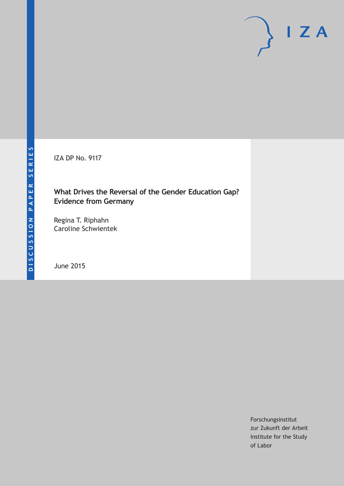IZA DP No. 9117

## **What Drives the Reversal of the Gender Education Gap? Evidence from Germany**

Regina T. Riphahn Caroline Schwientek

June 2015

Forschungsinstitut zur Zukunft der Arbeit Institute for the Study of Labor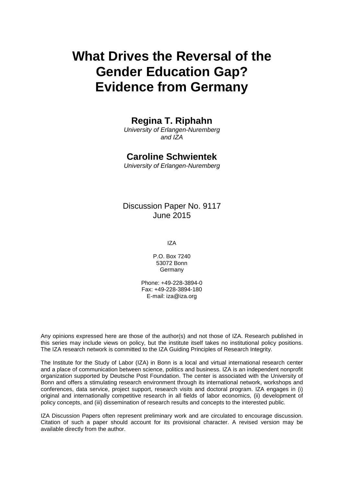# **What Drives the Reversal of the Gender Education Gap? Evidence from Germany**

## **Regina T. Riphahn**

*University of Erlangen-Nuremberg and IZA*

## **Caroline Schwientek**

*University of Erlangen-Nuremberg*

## Discussion Paper No. 9117 June 2015

IZA

P.O. Box 7240 53072 Bonn Germany

Phone: +49-228-3894-0 Fax: +49-228-3894-180 E-mail: iza@iza.org

Any opinions expressed here are those of the author(s) and not those of IZA. Research published in this series may include views on policy, but the institute itself takes no institutional policy positions. The IZA research network is committed to the IZA Guiding Principles of Research Integrity.

The Institute for the Study of Labor (IZA) in Bonn is a local and virtual international research center and a place of communication between science, politics and business. IZA is an independent nonprofit organization supported by Deutsche Post Foundation. The center is associated with the University of Bonn and offers a stimulating research environment through its international network, workshops and conferences, data service, project support, research visits and doctoral program. IZA engages in (i) original and internationally competitive research in all fields of labor economics, (ii) development of policy concepts, and (iii) dissemination of research results and concepts to the interested public.

<span id="page-1-0"></span>IZA Discussion Papers often represent preliminary work and are circulated to encourage discussion. Citation of such a paper should account for its provisional character. A revised version may be available directly from the author.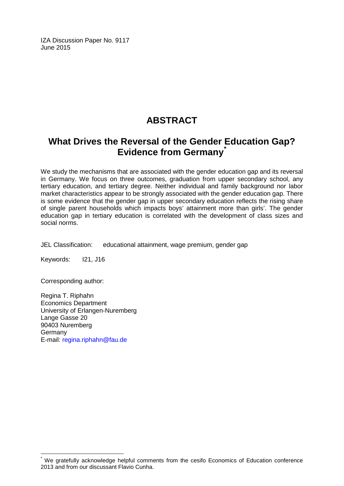IZA Discussion Paper No. 9117 June 2015

## **ABSTRACT**

## **What Drives the Reversal of the Gender Education Gap? Evidence from Germany[\\*](#page-1-0)**

We study the mechanisms that are associated with the gender education gap and its reversal in Germany. We focus on three outcomes, graduation from upper secondary school, any tertiary education, and tertiary degree. Neither individual and family background nor labor market characteristics appear to be strongly associated with the gender education gap. There is some evidence that the gender gap in upper secondary education reflects the rising share of single parent households which impacts boys' attainment more than girls'. The gender education gap in tertiary education is correlated with the development of class sizes and social norms.

JEL Classification: educational attainment, wage premium, gender gap

Keywords: I21, J16

Corresponding author:

Regina T. Riphahn Economics Department University of Erlangen-Nuremberg Lange Gasse 20 90403 Nuremberg Germany E-mail: [regina.riphahn@fau.de](mailto:regina.riphahn@fau.de)

We gratefully acknowledge helpful comments from the cesifo Economics of Education conference 2013 and from our discussant Flavio Cunha.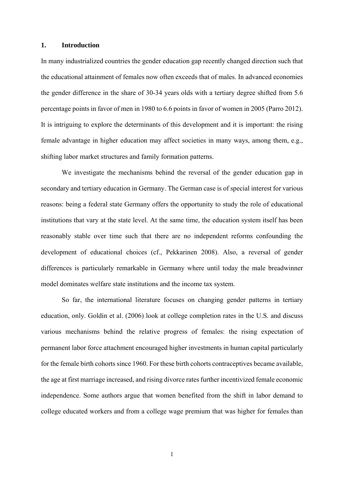#### **1. Introduction**

In many industrialized countries the gender education gap recently changed direction such that the educational attainment of females now often exceeds that of males. In advanced economies the gender difference in the share of 30-34 years olds with a tertiary degree shifted from 5.6 percentage points in favor of men in 1980 to 6.6 points in favor of women in 2005 (Parro 2012). It is intriguing to explore the determinants of this development and it is important: the rising female advantage in higher education may affect societies in many ways, among them, e.g., shifting labor market structures and family formation patterns.

We investigate the mechanisms behind the reversal of the gender education gap in secondary and tertiary education in Germany. The German case is of special interest for various reasons: being a federal state Germany offers the opportunity to study the role of educational institutions that vary at the state level. At the same time, the education system itself has been reasonably stable over time such that there are no independent reforms confounding the development of educational choices (cf., Pekkarinen 2008). Also, a reversal of gender differences is particularly remarkable in Germany where until today the male breadwinner model dominates welfare state institutions and the income tax system.

 So far, the international literature focuses on changing gender patterns in tertiary education, only. Goldin et al. (2006) look at college completion rates in the U.S. and discuss various mechanisms behind the relative progress of females: the rising expectation of permanent labor force attachment encouraged higher investments in human capital particularly for the female birth cohorts since 1960. For these birth cohorts contraceptives became available, the age at first marriage increased, and rising divorce rates further incentivized female economic independence. Some authors argue that women benefited from the shift in labor demand to college educated workers and from a college wage premium that was higher for females than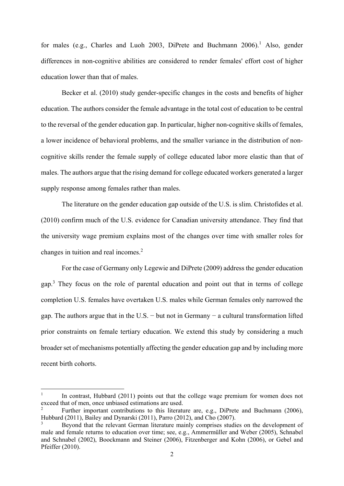for males (e.g., Charles and Luoh 2003, DiPrete and Buchmann 2006).<sup>1</sup> Also, gender differences in non-cognitive abilities are considered to render females' effort cost of higher education lower than that of males.

Becker et al. (2010) study gender-specific changes in the costs and benefits of higher education. The authors consider the female advantage in the total cost of education to be central to the reversal of the gender education gap. In particular, higher non-cognitive skills of females, a lower incidence of behavioral problems, and the smaller variance in the distribution of noncognitive skills render the female supply of college educated labor more elastic than that of males. The authors argue that the rising demand for college educated workers generated a larger supply response among females rather than males.

The literature on the gender education gap outside of the U.S. is slim. Christofides et al. (2010) confirm much of the U.S. evidence for Canadian university attendance. They find that the university wage premium explains most of the changes over time with smaller roles for changes in tuition and real incomes.<sup>2</sup>

For the case of Germany only Legewie and DiPrete (2009) address the gender education gap.<sup>3</sup> They focus on the role of parental education and point out that in terms of college completion U.S. females have overtaken U.S. males while German females only narrowed the gap. The authors argue that in the U.S. − but not in Germany − a cultural transformation lifted prior constraints on female tertiary education. We extend this study by considering a much broader set of mechanisms potentially affecting the gender education gap and by including more recent birth cohorts.

<sup>1</sup> In contrast, Hubbard (2011) points out that the college wage premium for women does not exceed that of men, once unbiased estimations are used.

<sup>2</sup> Further important contributions to this literature are, e.g., DiPrete and Buchmann (2006), Hubbard (2011), Bailey and Dynarski (2011), Parro (2012), and Cho (2007).

<sup>3</sup> Beyond that the relevant German literature mainly comprises studies on the development of male and female returns to education over time; see, e.g., Ammermüller and Weber (2005), Schnabel and Schnabel (2002), Boockmann and Steiner (2006), Fitzenberger and Kohn (2006), or Gebel and Pfeiffer (2010).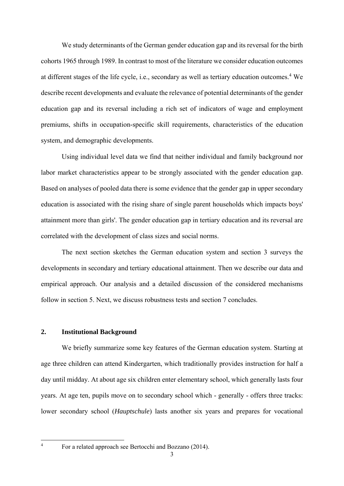We study determinants of the German gender education gap and its reversal for the birth cohorts 1965 through 1989. In contrast to most of the literature we consider education outcomes at different stages of the life cycle, i.e., secondary as well as tertiary education outcomes.<sup>4</sup> We describe recent developments and evaluate the relevance of potential determinants of the gender education gap and its reversal including a rich set of indicators of wage and employment premiums, shifts in occupation-specific skill requirements, characteristics of the education system, and demographic developments.

 Using individual level data we find that neither individual and family background nor labor market characteristics appear to be strongly associated with the gender education gap. Based on analyses of pooled data there is some evidence that the gender gap in upper secondary education is associated with the rising share of single parent households which impacts boys' attainment more than girls'. The gender education gap in tertiary education and its reversal are correlated with the development of class sizes and social norms.

 The next section sketches the German education system and section 3 surveys the developments in secondary and tertiary educational attainment. Then we describe our data and empirical approach. Our analysis and a detailed discussion of the considered mechanisms follow in section 5. Next, we discuss robustness tests and section 7 concludes.

#### **2. Institutional Background**

 We briefly summarize some key features of the German education system. Starting at age three children can attend Kindergarten, which traditionally provides instruction for half a day until midday. At about age six children enter elementary school, which generally lasts four years. At age ten, pupils move on to secondary school which - generally - offers three tracks: lower secondary school (*Hauptschule*) lasts another six years and prepares for vocational

For a related approach see Bertocchi and Bozzano (2014).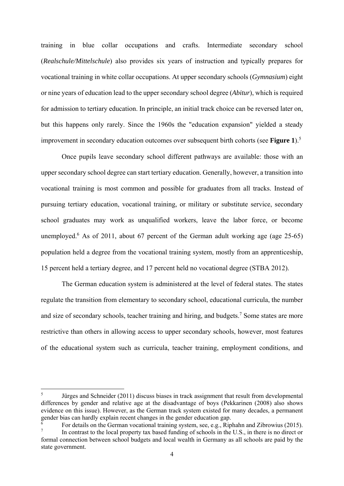training in blue collar occupations and crafts. Intermediate secondary school (*Realschule/Mittelschule*) also provides six years of instruction and typically prepares for vocational training in white collar occupations. At upper secondary schools (*Gymnasium*) eight or nine years of education lead to the upper secondary school degree (*Abitur*), which is required for admission to tertiary education. In principle, an initial track choice can be reversed later on, but this happens only rarely. Since the 1960s the "education expansion" yielded a steady improvement in secondary education outcomes over subsequent birth cohorts (see **Figure 1**).5

Once pupils leave secondary school different pathways are available: those with an upper secondary school degree can start tertiary education. Generally, however, a transition into vocational training is most common and possible for graduates from all tracks. Instead of pursuing tertiary education, vocational training, or military or substitute service, secondary school graduates may work as unqualified workers, leave the labor force, or become unemployed.<sup>6</sup> As of 2011, about 67 percent of the German adult working age (age 25-65) population held a degree from the vocational training system, mostly from an apprenticeship, 15 percent held a tertiary degree, and 17 percent held no vocational degree (STBA 2012).

The German education system is administered at the level of federal states. The states regulate the transition from elementary to secondary school, educational curricula, the number and size of secondary schools, teacher training and hiring, and budgets.<sup>7</sup> Some states are more restrictive than others in allowing access to upper secondary schools, however, most features of the educational system such as curricula, teacher training, employment conditions, and

<sup>5</sup> Jürges and Schneider (2011) discuss biases in track assignment that result from developmental differences by gender and relative age at the disadvantage of boys (Pekkarinen (2008) also shows evidence on this issue). However, as the German track system existed for many decades, a permanent gender bias can hardly explain recent changes in the gender education gap.

<sup>6</sup> For details on the German vocational training system, see, e.g., Riphahn and Zibrowius (2015).

<sup>7</sup> In contrast to the local property tax based funding of schools in the U.S., in there is no direct or formal connection between school budgets and local wealth in Germany as all schools are paid by the state government.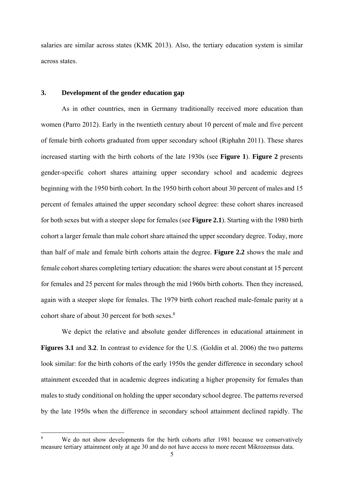salaries are similar across states (KMK 2013). Also, the tertiary education system is similar across states.

#### **3. Development of the gender education gap**

As in other countries, men in Germany traditionally received more education than women (Parro 2012). Early in the twentieth century about 10 percent of male and five percent of female birth cohorts graduated from upper secondary school (Riphahn 2011). These shares increased starting with the birth cohorts of the late 1930s (see **Figure 1**). **Figure 2** presents gender-specific cohort shares attaining upper secondary school and academic degrees beginning with the 1950 birth cohort. In the 1950 birth cohort about 30 percent of males and 15 percent of females attained the upper secondary school degree: these cohort shares increased for both sexes but with a steeper slope for females (see **Figure 2.1**). Starting with the 1980 birth cohort a larger female than male cohort share attained the upper secondary degree. Today, more than half of male and female birth cohorts attain the degree. **Figure 2.2** shows the male and female cohort shares completing tertiary education: the shares were about constant at 15 percent for females and 25 percent for males through the mid 1960s birth cohorts. Then they increased, again with a steeper slope for females. The 1979 birth cohort reached male-female parity at a cohort share of about 30 percent for both sexes.<sup>8</sup>

 We depict the relative and absolute gender differences in educational attainment in **Figures 3.1** and 3.2. In contrast to evidence for the U.S. (Goldin et al. 2006) the two patterns look similar: for the birth cohorts of the early 1950s the gender difference in secondary school attainment exceeded that in academic degrees indicating a higher propensity for females than males to study conditional on holding the upper secondary school degree. The patterns reversed by the late 1950s when the difference in secondary school attainment declined rapidly. The

<sup>8</sup> We do not show developments for the birth cohorts after 1981 because we conservatively measure tertiary attainment only at age 30 and do not have access to more recent Mikrozensus data.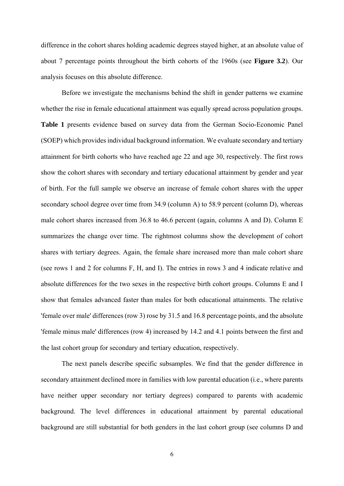difference in the cohort shares holding academic degrees stayed higher, at an absolute value of about 7 percentage points throughout the birth cohorts of the 1960s (see **Figure 3.2**). Our analysis focuses on this absolute difference.

 Before we investigate the mechanisms behind the shift in gender patterns we examine whether the rise in female educational attainment was equally spread across population groups. **Table 1** presents evidence based on survey data from the German Socio-Economic Panel (SOEP) which provides individual background information. We evaluate secondary and tertiary attainment for birth cohorts who have reached age 22 and age 30, respectively. The first rows show the cohort shares with secondary and tertiary educational attainment by gender and year of birth. For the full sample we observe an increase of female cohort shares with the upper secondary school degree over time from 34.9 (column A) to 58.9 percent (column D), whereas male cohort shares increased from 36.8 to 46.6 percent (again, columns A and D). Column E summarizes the change over time. The rightmost columns show the development of cohort shares with tertiary degrees. Again, the female share increased more than male cohort share (see rows 1 and 2 for columns F, H, and I). The entries in rows 3 and 4 indicate relative and absolute differences for the two sexes in the respective birth cohort groups. Columns E and I show that females advanced faster than males for both educational attainments. The relative 'female over male' differences (row 3) rose by 31.5 and 16.8 percentage points, and the absolute 'female minus male' differences (row 4) increased by 14.2 and 4.1 points between the first and the last cohort group for secondary and tertiary education, respectively.

 The next panels describe specific subsamples. We find that the gender difference in secondary attainment declined more in families with low parental education (i.e., where parents have neither upper secondary nor tertiary degrees) compared to parents with academic background. The level differences in educational attainment by parental educational background are still substantial for both genders in the last cohort group (see columns D and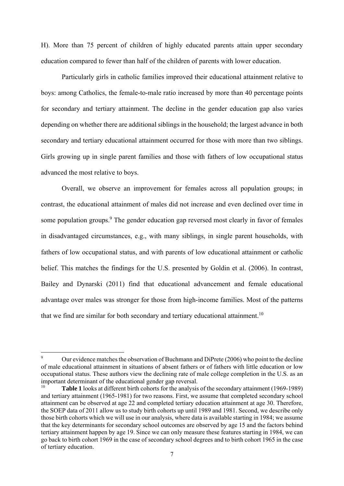H). More than 75 percent of children of highly educated parents attain upper secondary education compared to fewer than half of the children of parents with lower education.

 Particularly girls in catholic families improved their educational attainment relative to boys: among Catholics, the female-to-male ratio increased by more than 40 percentage points for secondary and tertiary attainment. The decline in the gender education gap also varies depending on whether there are additional siblings in the household; the largest advance in both secondary and tertiary educational attainment occurred for those with more than two siblings. Girls growing up in single parent families and those with fathers of low occupational status advanced the most relative to boys.

Overall, we observe an improvement for females across all population groups; in contrast, the educational attainment of males did not increase and even declined over time in some population groups.<sup>9</sup> The gender education gap reversed most clearly in favor of females in disadvantaged circumstances, e.g., with many siblings, in single parent households, with fathers of low occupational status, and with parents of low educational attainment or catholic belief. This matches the findings for the U.S. presented by Goldin et al. (2006). In contrast, Bailey and Dynarski (2011) find that educational advancement and female educational advantage over males was stronger for those from high-income families. Most of the patterns that we find are similar for both secondary and tertiary educational attainment.<sup>10</sup>

<sup>9</sup> Our evidence matches the observation of Buchmann and DiPrete (2006) who point to the decline of male educational attainment in situations of absent fathers or of fathers with little education or low occupational status. These authors view the declining rate of male college completion in the U.S. as an important determinant of the educational gender gap reversal.<br><sup>10</sup> Teble 1 leglis at different birth eghapts for the englysis

<sup>10</sup> **Table 1** looks at different birth cohorts for the analysis of the secondary attainment (1969-1989) and tertiary attainment (1965-1981) for two reasons. First, we assume that completed secondary school attainment can be observed at age 22 and completed tertiary education attainment at age 30. Therefore, the SOEP data of 2011 allow us to study birth cohorts up until 1989 and 1981. Second, we describe only those birth cohorts which we will use in our analysis, where data is available starting in 1984; we assume that the key determinants for secondary school outcomes are observed by age 15 and the factors behind tertiary attainment happen by age 19. Since we can only measure these features starting in 1984, we can go back to birth cohort 1969 in the case of secondary school degrees and to birth cohort 1965 in the case of tertiary education.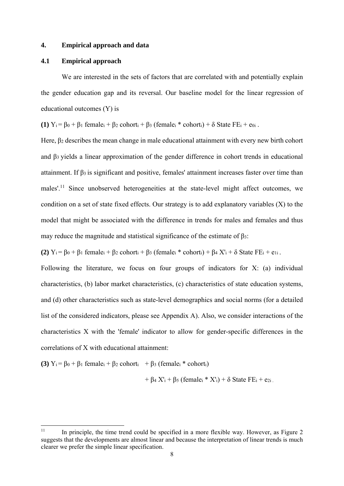#### **4. Empirical approach and data**

#### **4.1 Empirical approach**

We are interested in the sets of factors that are correlated with and potentially explain the gender education gap and its reversal. Our baseline model for the linear regression of educational outcomes (Y) is

**(1)**  $Y_i = B_0 + B_1$  female<sub>i</sub> +  $B_2$  cohort<sub>i</sub> +  $B_3$  (female<sub>i</sub> \* cohort<sub>i</sub>) +  $\delta$  State FE<sub>i</sub> + e<sub>0i</sub>.

Here, β2 describes the mean change in male educational attainment with every new birth cohort and β3 yields a linear approximation of the gender difference in cohort trends in educational attainment. If  $\beta_3$  is significant and positive, females' attainment increases faster over time than males'.<sup>11</sup> Since unobserved heterogeneities at the state-level might affect outcomes, we condition on a set of state fixed effects. Our strategy is to add explanatory variables (X) to the model that might be associated with the difference in trends for males and females and thus may reduce the magnitude and statistical significance of the estimate of  $\beta_3$ :

**(2)**  $Y_i = \beta_0 + \beta_1$  female<sub>i</sub> +  $\beta_2$  cohort<sub>i</sub> +  $\beta_3$  (female<sub>i</sub> \* cohort<sub>i</sub>) +  $\beta_4$   $X'_i$  +  $\delta$  State FE<sub>i</sub> + e<sub>1i</sub>.

Following the literature, we focus on four groups of indicators for X: (a) individual characteristics, (b) labor market characteristics, (c) characteristics of state education systems, and (d) other characteristics such as state-level demographics and social norms (for a detailed list of the considered indicators, please see Appendix A). Also, we consider interactions of the characteristics X with the 'female' indicator to allow for gender-specific differences in the correlations of X with educational attainment:

**(3)**  $Y_i = \beta_0 + \beta_1$  female<sub>i</sub> +  $\beta_2$  cohort<sub>i</sub> +  $\beta_3$  (female<sub>i</sub> \* cohort<sub>i</sub>)

+  $\beta$ <sub>4</sub> X'<sub>i</sub> +  $\beta$ <sub>5</sub> (female<sub>i</sub> \* X'<sub>i</sub>) +  $\delta$  State FE<sub>i</sub> + e<sub>2i</sub>.

 $11$  In principle, the time trend could be specified in a more flexible way. However, as Figure 2 suggests that the developments are almost linear and because the interpretation of linear trends is much clearer we prefer the simple linear specification.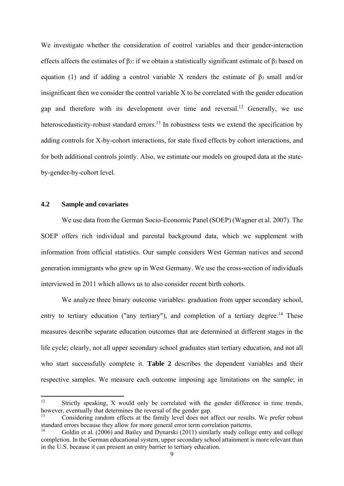We investigate whether the consideration of control variables and their gender-interaction effects affects the estimates of  $\beta_3$ : if we obtain a statistically significant estimate of  $\beta_3$  based on equation (1) and if adding a control variable X renders the estimate of  $β_3$  small and/or insignificant then we consider the control variable X to be correlated with the gender education gap and therefore with its development over time and reversal.<sup>12</sup> Generally, we use heteroscedasticity-robust standard errors.<sup>13</sup> In robustness tests we extend the specification by adding controls for X-by-cohort interactions, for state fixed effects by cohort interactions, and for both additional controls jointly. Also, we estimate our models on grouped data at the stateby-gender-by-cohort level.

#### **4.2 Sample and covariates**

We use data from the German Socio-Economic Panel (SOEP) (Wagner et al. 2007). The SOEP offers rich individual and parental background data, which we supplement with information from official statistics. Our sample considers West German natives and second generation immigrants who grew up in West Germany. We use the cross-section of individuals interviewed in 2011 which allows us to also consider recent birth cohorts.

We analyze three binary outcome variables: graduation from upper secondary school, entry to tertiary education ("any tertiary"), and completion of a tertiary degree.<sup>14</sup> These measures describe separate education outcomes that are determined at different stages in the life cycle; clearly, not all upper secondary school graduates start tertiary education, and not all who start successfully complete it. **Table 2** describes the dependent variables and their respective samples. We measure each outcome imposing age limitations on the sample; in

<sup>&</sup>lt;sup>12</sup> Strictly speaking, X would only be correlated with the gender difference in time trends, however, eventually that determines the reversal of the gender gap.

<sup>13</sup> Considering random effects at the family level does not affect our results. We prefer robust standard errors because they allow for more general error term correlation patterns.

<sup>14</sup> Goldin et al. (2006) and Bailey and Dynarski (2011) similarly study college entry and college completion. In the German educational system, upper secondary school attainment is more relevant than in the U.S. because it can present an entry barrier to tertiary education.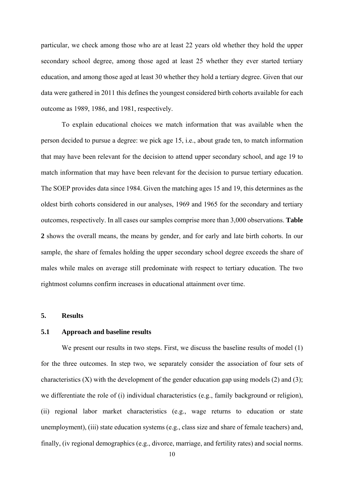particular, we check among those who are at least 22 years old whether they hold the upper secondary school degree, among those aged at least 25 whether they ever started tertiary education, and among those aged at least 30 whether they hold a tertiary degree. Given that our data were gathered in 2011 this defines the youngest considered birth cohorts available for each outcome as 1989, 1986, and 1981, respectively.

To explain educational choices we match information that was available when the person decided to pursue a degree: we pick age 15, i.e., about grade ten, to match information that may have been relevant for the decision to attend upper secondary school, and age 19 to match information that may have been relevant for the decision to pursue tertiary education. The SOEP provides data since 1984. Given the matching ages 15 and 19, this determines as the oldest birth cohorts considered in our analyses, 1969 and 1965 for the secondary and tertiary outcomes, respectively. In all cases our samples comprise more than 3,000 observations. **Table 2** shows the overall means, the means by gender, and for early and late birth cohorts. In our sample, the share of females holding the upper secondary school degree exceeds the share of males while males on average still predominate with respect to tertiary education. The two rightmost columns confirm increases in educational attainment over time.

#### **5. Results**

#### **5.1 Approach and baseline results**

We present our results in two steps. First, we discuss the baseline results of model (1) for the three outcomes. In step two, we separately consider the association of four sets of characteristics  $(X)$  with the development of the gender education gap using models  $(2)$  and  $(3)$ ; we differentiate the role of (i) individual characteristics (e.g., family background or religion), (ii) regional labor market characteristics (e.g., wage returns to education or state unemployment), (iii) state education systems (e.g., class size and share of female teachers) and, finally, (iv regional demographics (e.g., divorce, marriage, and fertility rates) and social norms.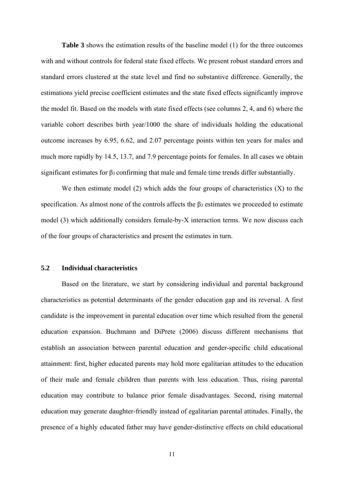Table 3 shows the estimation results of the baseline model (1) for the three outcomes with and without controls for federal state fixed effects. We present robust standard errors and standard errors clustered at the state level and find no substantive difference. Generally, the estimations yield precise coefficient estimates and the state fixed effects significantly improve the model fit. Based on the models with state fixed effects (see columns 2, 4, and 6) where the variable cohort describes birth year/1000 the share of individuals holding the educational outcome increases by 6.95, 6.62, and 2.07 percentage points within ten years for males and much more rapidly by 14.5, 13.7, and 7.9 percentage points for females. In all cases we obtain significant estimates for  $\beta_3$  confirming that male and female time trends differ substantially.

We then estimate model  $(2)$  which adds the four groups of characteristics  $(X)$  to the specification. As almost none of the controls affects the β3 estimates we proceeded to estimate model (3) which additionally considers female-by-X interaction terms. We now discuss each of the four groups of characteristics and present the estimates in turn.

#### **5.2 Individual characteristics**

 Based on the literature, we start by considering individual and parental background characteristics as potential determinants of the gender education gap and its reversal. A first candidate is the improvement in parental education over time which resulted from the general education expansion. Buchmann and DiPrete (2006) discuss different mechanisms that establish an association between parental education and gender-specific child educational attainment: first, higher educated parents may hold more egalitarian attitudes to the education of their male and female children than parents with less education. Thus, rising parental education may contribute to balance prior female disadvantages. Second, rising maternal education may generate daughter-friendly instead of egalitarian parental attitudes. Finally, the presence of a highly educated father may have gender-distinctive effects on child educational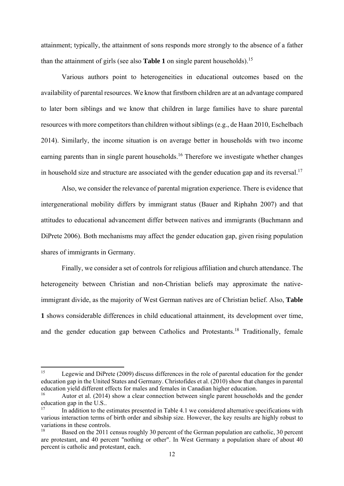attainment; typically, the attainment of sons responds more strongly to the absence of a father than the attainment of girls (see also **Table 1** on single parent households).15

 Various authors point to heterogeneities in educational outcomes based on the availability of parental resources. We know that firstborn children are at an advantage compared to later born siblings and we know that children in large families have to share parental resources with more competitors than children without siblings (e.g., de Haan 2010, Eschelbach 2014). Similarly, the income situation is on average better in households with two income earning parents than in single parent households.<sup>16</sup> Therefore we investigate whether changes in household size and structure are associated with the gender education gap and its reversal.<sup>17</sup>

 Also, we consider the relevance of parental migration experience. There is evidence that intergenerational mobility differs by immigrant status (Bauer and Riphahn 2007) and that attitudes to educational advancement differ between natives and immigrants (Buchmann and DiPrete 2006). Both mechanisms may affect the gender education gap, given rising population shares of immigrants in Germany.

 Finally, we consider a set of controls for religious affiliation and church attendance. The heterogeneity between Christian and non-Christian beliefs may approximate the nativeimmigrant divide, as the majority of West German natives are of Christian belief. Also, **Table 1** shows considerable differences in child educational attainment, its development over time, and the gender education gap between Catholics and Protestants.18 Traditionally, female

<sup>&</sup>lt;sup>15</sup> Legewie and DiPrete (2009) discuss differences in the role of parental education for the gender education gap in the United States and Germany. Christofides et al. (2010) show that changes in parental education yield different effects for males and females in Canadian higher education.

Autor et al. (2014) show a clear connection between single parent households and the gender education gap in the U.S..

<sup>17</sup> In addition to the estimates presented in Table 4.1 we considered alternative specifications with various interaction terms of birth order and sibship size. However, the key results are highly robust to variations in these controls.

Based on the 2011 census roughly 30 percent of the German population are catholic, 30 percent are protestant, and 40 percent "nothing or other". In West Germany a population share of about 40 percent is catholic and protestant, each.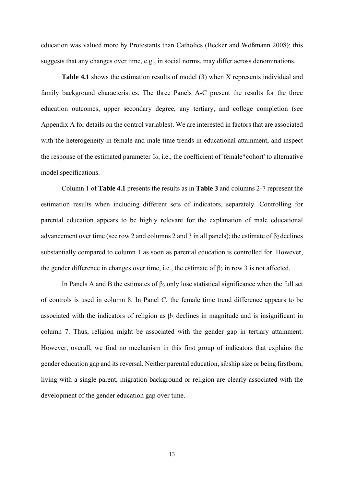education was valued more by Protestants than Catholics (Becker and Wößmann 2008); this suggests that any changes over time, e.g., in social norms, may differ across denominations.

**Table 4.1** shows the estimation results of model (3) when X represents individual and family background characteristics. The three Panels A-C present the results for the three education outcomes, upper secondary degree, any tertiary, and college completion (see Appendix A for details on the control variables). We are interested in factors that are associated with the heterogeneity in female and male time trends in educational attainment, and inspect the response of the estimated parameter β3, i.e., the coefficient of 'female\*cohort' to alternative model specifications.

 Column 1 of **Table 4.1** presents the results as in **Table 3** and columns 2-7 represent the estimation results when including different sets of indicators, separately. Controlling for parental education appears to be highly relevant for the explanation of male educational advancement over time (see row 2 and columns 2 and 3 in all panels); the estimate of  $\beta_2$  declines substantially compared to column 1 as soon as parental education is controlled for. However, the gender difference in changes over time, i.e., the estimate of  $\beta_3$  in row 3 is not affected.

In Panels A and B the estimates of  $\beta_3$  only lose statistical significance when the full set of controls is used in column 8. In Panel C, the female time trend difference appears to be associated with the indicators of religion as  $\beta_3$  declines in magnitude and is insignificant in column 7. Thus, religion might be associated with the gender gap in tertiary attainment. However, overall, we find no mechanism in this first group of indicators that explains the gender education gap and its reversal. Neither parental education, sibship size or being firstborn, living with a single parent, migration background or religion are clearly associated with the development of the gender education gap over time.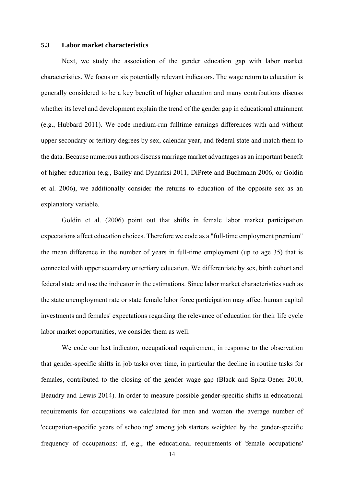#### **5.3 Labor market characteristics**

 Next, we study the association of the gender education gap with labor market characteristics. We focus on six potentially relevant indicators. The wage return to education is generally considered to be a key benefit of higher education and many contributions discuss whether its level and development explain the trend of the gender gap in educational attainment (e.g., Hubbard 2011). We code medium-run fulltime earnings differences with and without upper secondary or tertiary degrees by sex, calendar year, and federal state and match them to the data. Because numerous authors discuss marriage market advantages as an important benefit of higher education (e.g., Bailey and Dynarksi 2011, DiPrete and Buchmann 2006, or Goldin et al. 2006), we additionally consider the returns to education of the opposite sex as an explanatory variable.

Goldin et al. (2006) point out that shifts in female labor market participation expectations affect education choices. Therefore we code as a "full-time employment premium" the mean difference in the number of years in full-time employment (up to age 35) that is connected with upper secondary or tertiary education. We differentiate by sex, birth cohort and federal state and use the indicator in the estimations. Since labor market characteristics such as the state unemployment rate or state female labor force participation may affect human capital investments and females' expectations regarding the relevance of education for their life cycle labor market opportunities, we consider them as well.

 We code our last indicator, occupational requirement, in response to the observation that gender-specific shifts in job tasks over time, in particular the decline in routine tasks for females, contributed to the closing of the gender wage gap (Black and Spitz-Oener 2010, Beaudry and Lewis 2014). In order to measure possible gender-specific shifts in educational requirements for occupations we calculated for men and women the average number of 'occupation-specific years of schooling' among job starters weighted by the gender-specific frequency of occupations: if, e.g., the educational requirements of 'female occupations'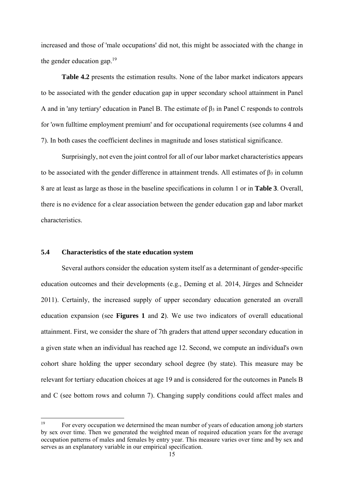increased and those of 'male occupations' did not, this might be associated with the change in the gender education gap. $19$ 

**Table 4.2** presents the estimation results. None of the labor market indicators appears to be associated with the gender education gap in upper secondary school attainment in Panel A and in 'any tertiary' education in Panel B. The estimate of  $\beta_3$  in Panel C responds to controls for 'own fulltime employment premium' and for occupational requirements (see columns 4 and 7). In both cases the coefficient declines in magnitude and loses statistical significance.

 Surprisingly, not even the joint control for all of our labor market characteristics appears to be associated with the gender difference in attainment trends. All estimates of  $β_3$  in column 8 are at least as large as those in the baseline specifications in column 1 or in **Table 3**. Overall, there is no evidence for a clear association between the gender education gap and labor market characteristics.

#### **5.4 Characteristics of the state education system**

 Several authors consider the education system itself as a determinant of gender-specific education outcomes and their developments (e.g., Deming et al. 2014, Jürges and Schneider 2011). Certainly, the increased supply of upper secondary education generated an overall education expansion (see **Figures 1** and **2**). We use two indicators of overall educational attainment. First, we consider the share of 7th graders that attend upper secondary education in a given state when an individual has reached age 12. Second, we compute an individual's own cohort share holding the upper secondary school degree (by state). This measure may be relevant for tertiary education choices at age 19 and is considered for the outcomes in Panels B and C (see bottom rows and column 7). Changing supply conditions could affect males and

<sup>&</sup>lt;sup>19</sup> For every occupation we determined the mean number of years of education among job starters by sex over time. Then we generated the weighted mean of required education years for the average occupation patterns of males and females by entry year. This measure varies over time and by sex and serves as an explanatory variable in our empirical specification.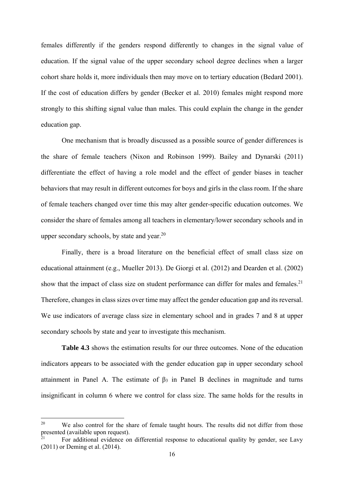females differently if the genders respond differently to changes in the signal value of education. If the signal value of the upper secondary school degree declines when a larger cohort share holds it, more individuals then may move on to tertiary education (Bedard 2001). If the cost of education differs by gender (Becker et al. 2010) females might respond more strongly to this shifting signal value than males. This could explain the change in the gender education gap.

 One mechanism that is broadly discussed as a possible source of gender differences is the share of female teachers (Nixon and Robinson 1999). Bailey and Dynarski (2011) differentiate the effect of having a role model and the effect of gender biases in teacher behaviors that may result in different outcomes for boys and girls in the class room. If the share of female teachers changed over time this may alter gender-specific education outcomes. We consider the share of females among all teachers in elementary/lower secondary schools and in upper secondary schools, by state and year.<sup>20</sup>

Finally, there is a broad literature on the beneficial effect of small class size on educational attainment (e.g., Mueller 2013). De Giorgi et al. (2012) and Dearden et al. (2002) show that the impact of class size on student performance can differ for males and females.<sup>21</sup> Therefore, changes in class sizes over time may affect the gender education gap and its reversal. We use indicators of average class size in elementary school and in grades 7 and 8 at upper secondary schools by state and year to investigate this mechanism.

Table 4.3 shows the estimation results for our three outcomes. None of the education indicators appears to be associated with the gender education gap in upper secondary school attainment in Panel A. The estimate of  $\beta_3$  in Panel B declines in magnitude and turns insignificant in column 6 where we control for class size. The same holds for the results in

<sup>&</sup>lt;sup>20</sup> We also control for the share of female taught hours. The results did not differ from those presented (available upon request).

For additional evidence on differential response to educational quality by gender, see Lavy (2011) or Deming et al. (2014).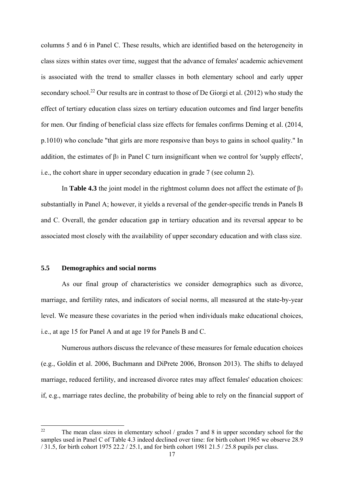columns 5 and 6 in Panel C. These results, which are identified based on the heterogeneity in class sizes within states over time, suggest that the advance of females' academic achievement is associated with the trend to smaller classes in both elementary school and early upper secondary school.<sup>22</sup> Our results are in contrast to those of De Giorgi et al. (2012) who study the effect of tertiary education class sizes on tertiary education outcomes and find larger benefits for men. Our finding of beneficial class size effects for females confirms Deming et al. (2014, p.1010) who conclude "that girls are more responsive than boys to gains in school quality." In addition, the estimates of  $\beta_3$  in Panel C turn insignificant when we control for 'supply effects', i.e., the cohort share in upper secondary education in grade 7 (see column 2).

In **Table 4.3** the joint model in the rightmost column does not affect the estimate of  $\beta_3$ substantially in Panel A; however, it yields a reversal of the gender-specific trends in Panels B and C. Overall, the gender education gap in tertiary education and its reversal appear to be associated most closely with the availability of upper secondary education and with class size.

#### **5.5 Demographics and social norms**

 As our final group of characteristics we consider demographics such as divorce, marriage, and fertility rates, and indicators of social norms, all measured at the state-by-year level. We measure these covariates in the period when individuals make educational choices, i.e., at age 15 for Panel A and at age 19 for Panels B and C.

Numerous authors discuss the relevance of these measures for female education choices (e.g., Goldin et al. 2006, Buchmann and DiPrete 2006, Bronson 2013). The shifts to delayed marriage, reduced fertility, and increased divorce rates may affect females' education choices: if, e.g., marriage rates decline, the probability of being able to rely on the financial support of

<sup>&</sup>lt;sup>22</sup> The mean class sizes in elementary school / grades 7 and 8 in upper secondary school for the samples used in Panel C of Table 4.3 indeed declined over time: for birth cohort 1965 we observe 28.9 / 31.5, for birth cohort 1975 22.2 / 25.1, and for birth cohort 1981 21.5 / 25.8 pupils per class.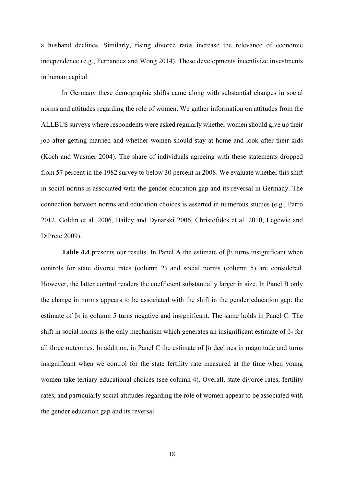a husband declines. Similarly, rising divorce rates increase the relevance of economic independence (e.g., Fernandez and Wong 2014). These developments incentivize investments in human capital.

 In Germany these demographic shifts came along with substantial changes in social norms and attitudes regarding the role of women. We gather information on attitudes from the ALLBUS surveys where respondents were asked regularly whether women should give up their job after getting married and whether women should stay at home and look after their kids (Koch and Wasmer 2004). The share of individuals agreeing with these statements dropped from 57 percent in the 1982 survey to below 30 percent in 2008. We evaluate whether this shift in social norms is associated with the gender education gap and its reversal in Germany. The connection between norms and education choices is asserted in numerous studies (e.g., Parro 2012, Goldin et al. 2006, Bailey and Dynarski 2006, Christofides et al. 2010, Legewie and DiPrete 2009).

**Table 4.4** presents our results. In Panel A the estimate of β3 turns insignificant when controls for state divorce rates (column 2) and social norms (column 5) are considered. However, the latter control renders the coefficient substantially larger in size. In Panel B only the change in norms appears to be associated with the shift in the gender education gap: the estimate of β3 in column 5 turns negative and insignificant. The same holds in Panel C. The shift in social norms is the only mechanism which generates an insignificant estimate of  $\beta_3$  for all three outcomes. In addition, in Panel C the estimate of  $\beta_3$  declines in magnitude and turns insignificant when we control for the state fertility rate measured at the time when young women take tertiary educational choices (see column 4). Overall, state divorce rates, fertility rates, and particularly social attitudes regarding the role of women appear to be associated with the gender education gap and its reversal.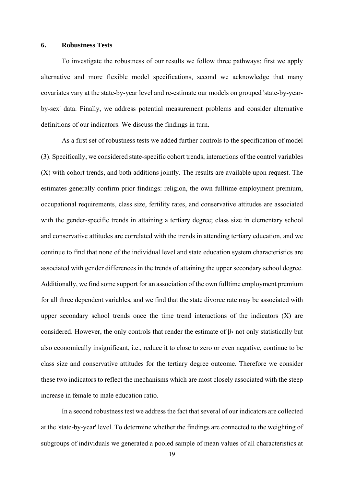#### **6. Robustness Tests**

 To investigate the robustness of our results we follow three pathways: first we apply alternative and more flexible model specifications, second we acknowledge that many covariates vary at the state-by-year level and re-estimate our models on grouped 'state-by-yearby-sex' data. Finally, we address potential measurement problems and consider alternative definitions of our indicators. We discuss the findings in turn.

 As a first set of robustness tests we added further controls to the specification of model (3). Specifically, we considered state-specific cohort trends, interactions of the control variables (X) with cohort trends, and both additions jointly. The results are available upon request. The estimates generally confirm prior findings: religion, the own fulltime employment premium, occupational requirements, class size, fertility rates, and conservative attitudes are associated with the gender-specific trends in attaining a tertiary degree; class size in elementary school and conservative attitudes are correlated with the trends in attending tertiary education, and we continue to find that none of the individual level and state education system characteristics are associated with gender differences in the trends of attaining the upper secondary school degree. Additionally, we find some support for an association of the own fulltime employment premium for all three dependent variables, and we find that the state divorce rate may be associated with upper secondary school trends once the time trend interactions of the indicators  $(X)$  are considered. However, the only controls that render the estimate of β3 not only statistically but also economically insignificant, i.e., reduce it to close to zero or even negative, continue to be class size and conservative attitudes for the tertiary degree outcome. Therefore we consider these two indicators to reflect the mechanisms which are most closely associated with the steep increase in female to male education ratio.

 In a second robustness test we address the fact that several of our indicators are collected at the 'state-by-year' level. To determine whether the findings are connected to the weighting of subgroups of individuals we generated a pooled sample of mean values of all characteristics at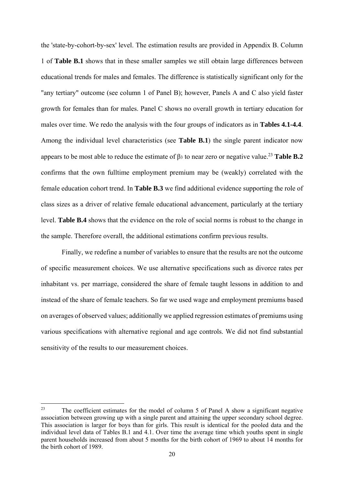the 'state-by-cohort-by-sex' level. The estimation results are provided in Appendix B. Column 1 of **Table B.1** shows that in these smaller samples we still obtain large differences between educational trends for males and females. The difference is statistically significant only for the "any tertiary" outcome (see column 1 of Panel B); however, Panels A and C also yield faster growth for females than for males. Panel C shows no overall growth in tertiary education for males over time. We redo the analysis with the four groups of indicators as in **Tables 4.1-4.4**. Among the individual level characteristics (see **Table B.1**) the single parent indicator now appears to be most able to reduce the estimate of  $\beta_3$  to near zero or negative value.<sup>23</sup> Table **B.2** confirms that the own fulltime employment premium may be (weakly) correlated with the female education cohort trend. In **Table B.3** we find additional evidence supporting the role of class sizes as a driver of relative female educational advancement, particularly at the tertiary level. **Table B.4** shows that the evidence on the role of social norms is robust to the change in the sample. Therefore overall, the additional estimations confirm previous results.

Finally, we redefine a number of variables to ensure that the results are not the outcome of specific measurement choices. We use alternative specifications such as divorce rates per inhabitant vs. per marriage, considered the share of female taught lessons in addition to and instead of the share of female teachers. So far we used wage and employment premiums based on averages of observed values; additionally we applied regression estimates of premiums using various specifications with alternative regional and age controls. We did not find substantial sensitivity of the results to our measurement choices.

<sup>&</sup>lt;sup>23</sup> The coefficient estimates for the model of column 5 of Panel A show a significant negative association between growing up with a single parent and attaining the upper secondary school degree. This association is larger for boys than for girls. This result is identical for the pooled data and the individual level data of Tables B.1 and 4.1. Over time the average time which youths spent in single parent households increased from about 5 months for the birth cohort of 1969 to about 14 months for the birth cohort of 1989.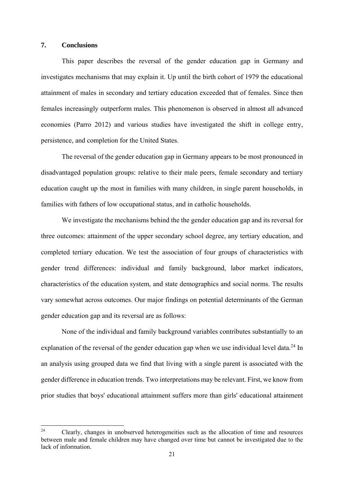#### **7. Conclusions**

 This paper describes the reversal of the gender education gap in Germany and investigates mechanisms that may explain it. Up until the birth cohort of 1979 the educational attainment of males in secondary and tertiary education exceeded that of females. Since then females increasingly outperform males. This phenomenon is observed in almost all advanced economies (Parro 2012) and various studies have investigated the shift in college entry, persistence, and completion for the United States.

The reversal of the gender education gap in Germany appears to be most pronounced in disadvantaged population groups: relative to their male peers, female secondary and tertiary education caught up the most in families with many children, in single parent households, in families with fathers of low occupational status, and in catholic households.

 We investigate the mechanisms behind the the gender education gap and its reversal for three outcomes: attainment of the upper secondary school degree, any tertiary education, and completed tertiary education. We test the association of four groups of characteristics with gender trend differences: individual and family background, labor market indicators, characteristics of the education system, and state demographics and social norms. The results vary somewhat across outcomes. Our major findings on potential determinants of the German gender education gap and its reversal are as follows:

None of the individual and family background variables contributes substantially to an explanation of the reversal of the gender education gap when we use individual level data.<sup>24</sup> In an analysis using grouped data we find that living with a single parent is associated with the gender difference in education trends. Two interpretations may be relevant. First, we know from prior studies that boys' educational attainment suffers more than girls' educational attainment

 $24$  Clearly, changes in unobserved heterogeneities such as the allocation of time and resources between male and female children may have changed over time but cannot be investigated due to the lack of information.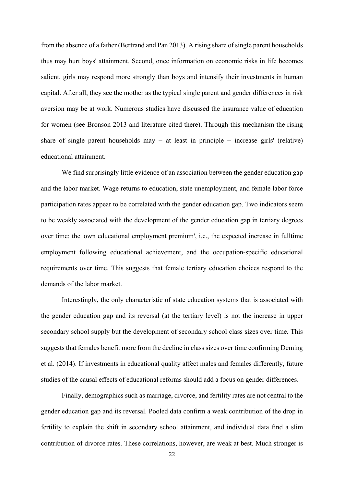from the absence of a father (Bertrand and Pan 2013). A rising share of single parent households thus may hurt boys' attainment. Second, once information on economic risks in life becomes salient, girls may respond more strongly than boys and intensify their investments in human capital. After all, they see the mother as the typical single parent and gender differences in risk aversion may be at work. Numerous studies have discussed the insurance value of education for women (see Bronson 2013 and literature cited there). Through this mechanism the rising share of single parent households may  $-$  at least in principle  $-$  increase girls' (relative) educational attainment.

We find surprisingly little evidence of an association between the gender education gap and the labor market. Wage returns to education, state unemployment, and female labor force participation rates appear to be correlated with the gender education gap. Two indicators seem to be weakly associated with the development of the gender education gap in tertiary degrees over time: the 'own educational employment premium', i.e., the expected increase in fulltime employment following educational achievement, and the occupation-specific educational requirements over time. This suggests that female tertiary education choices respond to the demands of the labor market.

Interestingly, the only characteristic of state education systems that is associated with the gender education gap and its reversal (at the tertiary level) is not the increase in upper secondary school supply but the development of secondary school class sizes over time. This suggests that females benefit more from the decline in class sizes over time confirming Deming et al. (2014). If investments in educational quality affect males and females differently, future studies of the causal effects of educational reforms should add a focus on gender differences.

Finally, demographics such as marriage, divorce, and fertility rates are not central to the gender education gap and its reversal. Pooled data confirm a weak contribution of the drop in fertility to explain the shift in secondary school attainment, and individual data find a slim contribution of divorce rates. These correlations, however, are weak at best. Much stronger is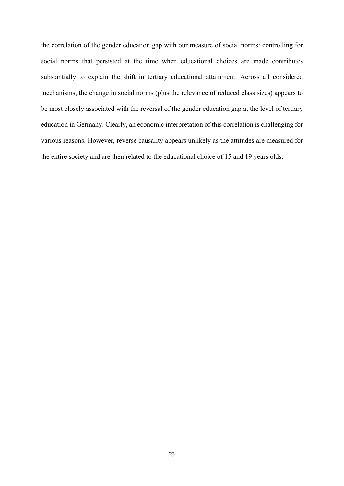the correlation of the gender education gap with our measure of social norms: controlling for social norms that persisted at the time when educational choices are made contributes substantially to explain the shift in tertiary educational attainment. Across all considered mechanisms, the change in social norms (plus the relevance of reduced class sizes) appears to be most closely associated with the reversal of the gender education gap at the level of tertiary education in Germany. Clearly, an economic interpretation of this correlation is challenging for various reasons. However, reverse causality appears unlikely as the attitudes are measured for the entire society and are then related to the educational choice of 15 and 19 years olds.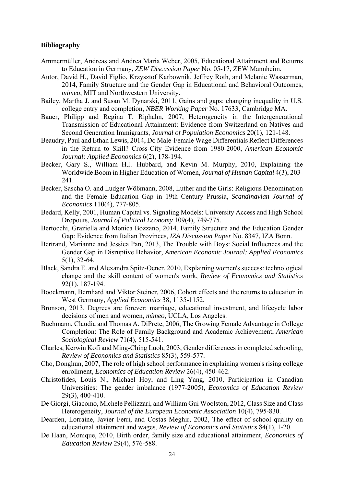#### **Bibliography**

- Ammermüller, Andreas and Andrea Maria Weber, 2005, Educational Attainment and Returns to Education in Germany, *ZEW Discussion Paper* No. 05-17, ZEW Mannheim.
- Autor, David H., David Figlio, Krzysztof Karbownik, Jeffrey Roth, and Melanie Wasserman, 2014, Family Structure and the Gender Gap in Educational and Behavioral Outcomes, *mimeo*, MIT and Northwestern University.
- Bailey, Martha J. and Susan M. Dynarski, 2011, Gains and gaps: changing inequality in U.S. college entry and completion, *NBER Working Paper* No. 17633, Cambridge MA.
- Bauer, Philipp and Regina T. Riphahn, 2007, Heterogeneity in the Intergenerational Transmission of Educational Attainment: Evidence from Switzerland on Natives and Second Generation Immigrants, *Journal of Population Economics* 20(1), 121-148.
- Beaudry, Paul and Ethan Lewis, 2014, Do Male-Female Wage Differentials Reflect Differences in the Return to Skill? Cross-City Evidence from 1980-2000, *American Economic Journal: Applied Economics* 6(2), 178-194.
- Becker, Gary S., William H.J. Hubbard, and Kevin M. Murphy, 2010, Explaining the Worldwide Boom in Higher Education of Women, *Journal of Human Capital* 4(3), 203- 241.
- Becker, Sascha O. and Ludger Wößmann, 2008, Luther and the Girls: Religious Denomination and the Female Education Gap in 19th Century Prussia, *Scandinavian Journal of Economics* 110(4), 777-805.
- Bedard, Kelly, 2001, Human Capital vs. Signaling Models: University Access and High School Dropouts, *Journal of Political Economy* 109(4), 749-775.
- Bertocchi, Graziella and Monica Bozzano, 2014, Family Structure and the Education Gender Gap: Evidence from Italian Provinces, *IZA Discussion Paper* No. 8347, IZA Bonn.
- Bertrand, Marianne and Jessica Pan, 2013, The Trouble with Boys: Social Influences and the Gender Gap in Disruptive Behavior, *American Economic Journal: Applied Economics* 5(1), 32-64.
- Black, Sandra E. and Alexandra Spitz-Oener, 2010, Explaining women's success: technological change and the skill content of women's work, *Review of Economics and Statistics* 92(1), 187-194.
- Boockmann, Bernhard and Viktor Steiner, 2006, Cohort effects and the returns to education in West Germany, *Applied Economics* 38, 1135-1152.
- Bronson, 2013, Degrees are forever: marriage, educational investment, and lifecycle labor decisions of men and women, *mimeo*, UCLA, Los Angeles.
- Buchmann, Claudia and Thomas A. DiPrete, 2006, The Growing Female Advantage in College Completion: The Role of Family Background and Academic Achievement, *American Sociological Review* 71(4), 515-541.
- Charles, Kerwin Kofi and Ming-Ching Luoh, 2003, Gender differences in completed schooling, *Review of Economics and Statistics* 85(3), 559-577.
- Cho, Donghun, 2007, The role of high school performance in explaining women's rising college enrollment, *Economics of Education Review* 26(4), 450-462.
- Christofides, Louis N., Michael Hoy, and Ling Yang, 2010, Participation in Canadian Universities: The gender imbalance (1977-2005), *Economics of Education Review* 29(3), 400-410.
- De Giorgi, Giacomo, Michele Pellizzari, and William Gui Woolston, 2012, Class Size and Class Heterogeneity, *Journal of the European Economic Association* 10(4), 795-830.
- Dearden, Lorraine, Javier Ferri, and Costas Meghir, 2002, The effect of school quality on educational attainment and wages, *Review of Economics and Statistics* 84(1), 1-20.
- De Haan, Monique, 2010, Birth order, family size and educational attainment, *Economics of Education Review* 29(4), 576-588.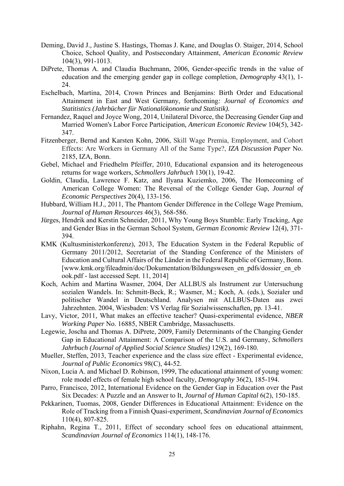- Deming, David J., Justine S. Hastings, Thomas J. Kane, and Douglas O. Staiger, 2014, School Choice, School Quality, and Postsecondary Attainment, *American Economic Review* 104(3), 991-1013.
- DiPrete, Thomas A. and Claudia Buchmann, 2006, Gender-specific trends in the value of education and the emerging gender gap in college completion, *Demography* 43(1), 1- 24.
- Eschelbach, Martina, 2014, Crown Princes and Benjamins: Birth Order and Educational Attainment in East and West Germany, forthcoming*: Journal of Economics and Statitistics (Jahrbücher für Nationalökonomie und Statistik).*
- Fernandez, Raquel and Joyce Wong, 2014, Unilateral Divorce, the Decreasing Gender Gap and Married Women's Labor Force Participation*, American Economic Review* 104(5), 342- 347.
- Fitzenberger, Bernd and Karsten Kohn, 2006, Skill Wage Premia, Employment, and Cohort Effects: Are Workers in Germany All of the Same Type?, *IZA Discussion Paper* No. 2185, IZA, Bonn.
- Gebel, Michael and Friedhelm Pfeiffer, 2010, Educational expansion and its heterogeneous returns for wage workers, *Schmollers Jahrbuch* 130(1), 19-42.
- Goldin, Claudia, Lawrence F. Katz, and Ilyana Kuziemko, 2006, The Homecoming of American College Women: The Reversal of the College Gender Gap, *Journal of Economic Perspectives* 20(4), 133-156.
- Hubbard, William H.J., 2011, The Phantom Gender Difference in the College Wage Premium, *Journal of Human Resources* 46(3), 568-586.
- Jürges, Hendrik and Kerstin Schneider, 2011, Why Young Boys Stumble: Early Tracking, Age and Gender Bias in the German School System, *German Economic Review* 12(4), 371- 394.
- KMK (Kultusministerkonferenz), 2013, The Education System in the Federal Republic of Germany 2011/2012, Secretariat of the Standing Conference of the Ministers of Education and Cultural Affairs of the Länder in the Federal Republic of Germany, Bonn. [www.kmk.org/fileadmin/doc/Dokumentation/Bildungswesen\_en\_pdfs/dossier\_en\_eb ook.pdf - last accessed Sept. 11, 2014]
- Koch, Achim and Martina Wasmer, 2004, Der ALLBUS als Instrument zur Untersuchung sozialen Wandels. In: Schmitt-Beck, R.; Wasmer, M.; Koch, A. (eds.), Sozialer und politischer Wandel in Deutschland. Analysen mit ALLBUS-Daten aus zwei Jahrzehnten. 2004, Wiesbaden: VS Verlag für Sozialwissenschaften, pp. 13-41.
- Lavy, Victor, 2011, What makes an effective teacher? Quasi-experimental evidence, *NBER Working Paper* No. 16885, NBER Cambridge, Massachusetts.
- Legewie, Joscha and Thomas A. DiPrete, 2009, Family Determinants of the Changing Gender Gap in Educational Attainment: A Comparison of the U.S. and Germany, *Schmollers Jahrbuch (Journal of Applied Social Science Studies)* 129(2), 169-180.
- Mueller, Steffen, 2013, Teacher experience and the class size effect Experimental evidence, *Journal of Public Economics* 98(C), 44-52.
- Nixon, Lucia A. and Michael D. Robinson, 1999, The educational attainment of young women: role model effects of female high school faculty, *Demography* 36(2), 185-194.
- Parro, Francisco, 2012, International Evidence on the Gender Gap in Education over the Past Six Decades: A Puzzle and an Answer to It, *Journal of Human Capital* 6(2), 150-185.
- Pekkarinen, Tuomas, 2008, Gender Differences in Educational Attainment: Evidence on the Role of Tracking from a Finnish Quasi-experiment, *Scandinavian Journal of Economics* 110(4), 807-825.
- Riphahn, Regina T., 2011, Effect of secondary school fees on educational attainment, *Scandinavian Journal of Economics* 114(1), 148-176.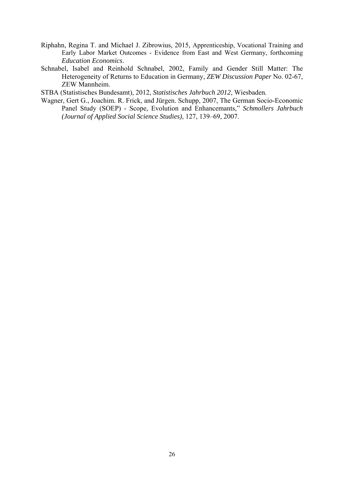- Riphahn, Regina T. and Michael J. Zibrowius, 2015, Apprenticeship, Vocational Training and Early Labor Market Outcomes - Evidence from East and West Germany, forthcoming *Education Economics*.
- Schnabel, Isabel and Reinhold Schnabel, 2002, Family and Gender Still Matter: The Heterogeneity of Returns to Education in Germany, *ZEW Discussion Paper* No. 02-67, ZEW Mannheim.

STBA (Statistisches Bundesamt), 2012, *Statistisches Jahrbuch 2012*, Wiesbaden.

Wagner, Gert G., Joachim. R. Frick, and Jürgen. Schupp, 2007, The German Socio-Economic Panel Study (SOEP) - Scope, Evolution and Enhancemants," *Schmollers Jahrbuch (Journal of Applied Social Science Studies)*, 127, 139–69, 2007.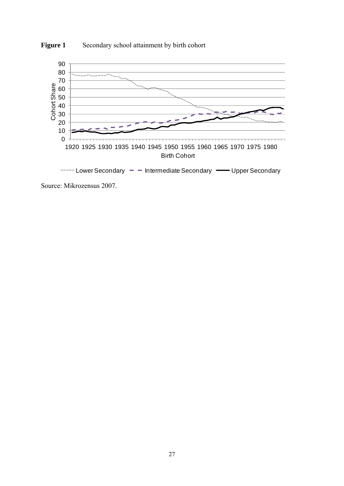

**Figure 1** Secondary school attainment by birth cohort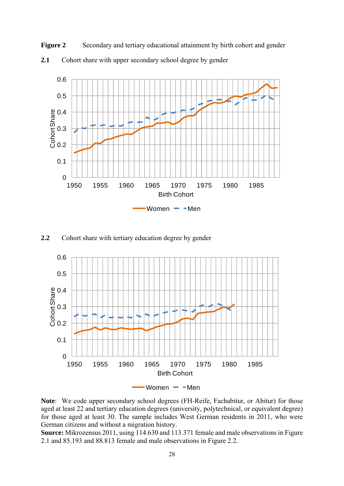**Figure 2** Secondary and tertiary educational attainment by birth cohort and gender **2.1** Cohort share with upper secondary school degree by gender



**2.2** Cohort share with tertiary education degree by gender



**Note**: We code upper secondary school degrees (FH-Reife, Fachabitur, or Abitur) for those aged at least 22 and tertiary education degrees (university, polytechnical, or equivalent degree) for those aged at least 30. The sample includes West German residents in 2011, who were German citizens and without a migration history.

**Source:** Mikrozensus 2011, using 114.630 and 113.371 female and male observations in Figure 2.1 and 85.193 and 88.813 female and male observations in Figure 2.2.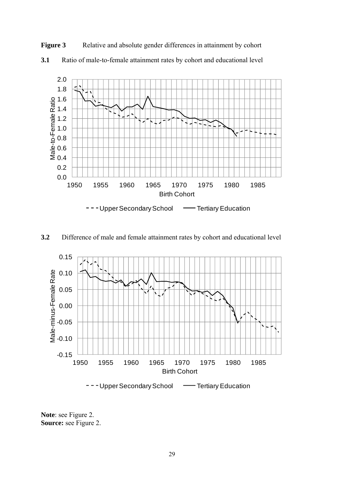

**3.1** Ratio of male-to-female attainment rates by cohort and educational level

**Figure 3** Relative and absolute gender differences in attainment by cohort

**3.2** Difference of male and female attainment rates by cohort and educational level



**Note**: see Figure 2. **Source:** see Figure 2.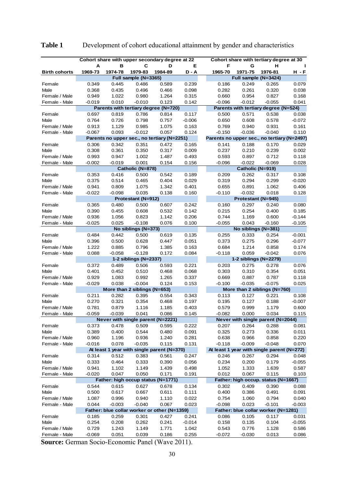|                      |                |                |                              | Cohort share with upper secondary degree at 22 |                |                | Cohort share with tertiary degree at 30     |                |          |
|----------------------|----------------|----------------|------------------------------|------------------------------------------------|----------------|----------------|---------------------------------------------|----------------|----------|
|                      | Α              | в              | С                            | D                                              | Е              | F              | G                                           | н              |          |
| <b>Birth cohorts</b> | 1969-73        | 1974-78        | 1979-83                      | 1984-89                                        | D - A          | 1965-70        | 1971-75                                     | 1976-81        | H - F    |
|                      |                |                | Full sample (N=3365)         |                                                |                |                | Full sample (N=3424)                        |                |          |
| Female               | 0.349          | 0.445          | 0.486                        | 0.589                                          | 0.239          | 0.186          | 0.249                                       | 0.265          | 0.079    |
| Male                 | 0.368          | 0.435          | 0.496                        | 0.466                                          | 0.098          | 0.282          | 0.261                                       | 0.320          | 0.038    |
| Female / Male        | 0.949          | 1.022          | 0.980                        | 1.264                                          | 0.315          | 0.660          | 0.954                                       | 0.827          | 0.168    |
| Female - Male        | $-0.019$       | 0.010          | $-0.010$                     | 0.123                                          | 0.142          | $-0.096$       | $-0.012$                                    | $-0.055$       | 0.041    |
|                      |                |                |                              | Parents with tertiary degree (N=720)           |                |                | Parents with tertiary degree (N=524)        |                |          |
| Female               | 0.697          | 0.819          | 0.786                        | 0.814                                          | 0.117          | 0.500          | 0.571                                       | 0.538          | 0.038    |
| Male                 | 0.764          | 0.726          | 0.798                        | 0.757                                          | $-0.006$       | 0.650          | 0.608                                       | 0.578          | $-0.072$ |
| Female / Male        | 0.913          | 1.129          | 0.985                        | 1.075                                          | 0.163          | 0.769          | 0.940                                       | 0.931          | 0.161    |
| Female - Male        | $-0.067$       | 0.093          | $-0.012$                     | 0.057                                          | 0.124          | $-0.150$       | $-0.036$                                    | $-0.040$       | 0.110    |
|                      |                |                |                              | Parents no upper sec., no tertiary (N=2251)    |                |                | Parents no upper sec., no tertiary (N=2497) |                |          |
| Female               | 0.306          | 0.342          | 0.351                        | 0.472                                          | 0.165          | 0.141          | 0.188                                       | 0.170          | 0.029    |
| Male                 | 0.308          | 0.361          | 0.350                        | 0.317                                          | 0.009          | 0.237          | 0.210                                       | 0.239          | 0.002    |
| Female / Male        | 0.993          | 0.947          | 1.002                        | 1.487                                          | 0.493          | 0.593          | 0.897                                       | 0.712          | 0.118    |
| Female - Male        | $-0.002$       | $-0.019$       | 0.001                        | 0.154                                          | 0.156          | -0.096         | $-0.022$                                    | $-0.069$       | 0.028    |
|                      |                |                | Catholic (N=878)             |                                                |                |                | Catholic (N=919)                            |                |          |
| Female               | 0.353          | 0.416          | 0.500                        | 0.542                                          | 0.189          | 0.209          | 0.262                                       | 0.317          | 0.108    |
| Male                 | 0.375          | 0.514          | 0.465                        | 0.404                                          | 0.029          | 0.319          | 0.294                                       | 0.299          | $-0.020$ |
| Female / Male        | 0.941          | 0.809          | 1.075                        | 1.342                                          | 0.401          | 0.655          | 0.891                                       | 1.062          | 0.406    |
| Female - Male        | $-0.022$       | $-0.098$       | 0.035<br>Protestant (N=912)  | 0.138                                          | 0.160          | $-0.110$       | $-0.032$                                    | 0.018          | 0.128    |
|                      |                |                |                              | 0.607                                          |                |                | Protestant (N=945)                          |                | 0.080    |
| Female<br>Male       | 0.365<br>0.390 | 0.480          | 0.500<br>0.608               | 0.532                                          | 0.242<br>0.142 | 0.160<br>0.215 | 0.297<br>0.254                              | 0.240<br>0.400 | 0.185    |
| Female / Male        | 0.936          | 0.455<br>1.056 | 0.823                        | 1.142                                          | 0.206          | 0.744          | 1.169                                       | 0.600          | $-0.144$ |
| Female - Male        | $-0.025$       | 0.025          | $-0.108$                     | 0.076                                          | 0.100          | $-0.055$       | 0.043                                       | $-0.160$       | $-0.105$ |
|                      |                |                | No siblings (N=373)          |                                                |                |                | No siblings (N=381)                         |                |          |
| Female               | 0.484          | 0.442          | 0.500                        | 0.619                                          | 0.135          | 0.255          | 0.333                                       | 0.254          | $-0.001$ |
| Male                 | 0.396          | 0.500          | 0.628                        | 0.447                                          | 0.051          | 0.373          | 0.275                                       | 0.296          | $-0.077$ |
| Female / Male        | 1.222          | 0.885          | 0.796                        | 1.385                                          | 0.163          | 0.684          | 1.214                                       | 0.858          | 0.174    |
| Female - Male        | 0.088          | $-0.058$       | -0.128                       | 0.172                                          | 0.084          | -0.118         | 0.059                                       | $-0.042$       | 0.076    |
|                      |                |                | 1-2 siblings (N=2337)        |                                                |                |                | 1-2 siblings (N=2279)                       |                |          |
| Female               | 0.372          | 0.489          | 0.506                        | 0.593                                          | 0.221          | 0.203          | 0.275                                       | 0.278          | 0.076    |
| Male                 | 0.401          | 0.452          | 0.510                        | 0.468                                          | 0.068          | 0.303          | 0.310                                       | 0.354          | 0.051    |
| Female / Male        | 0.929          | 1.083          | 0.992                        | 1.265                                          | 0.337          | 0.669          | 0.887                                       | 0.787          | 0.118    |
| Female - Male        | $-0.029$       | 0.038          | $-0.004$                     | 0.124                                          | 0.153          | $-0.100$       | $-0.035$                                    | $-0.075$       | 0.025    |
|                      |                |                | More than 2 siblings (N=653) |                                                |                |                | More than 2 siblings (N=760)                |                |          |
| Female               | 0.211          | 0.282          | 0.395                        | 0.554                                          | 0.343          | 0.113          | 0.127                                       | 0.221          | 0.108    |
| Male                 | 0.270          | 0.321          | 0.354                        | 0.468                                          | 0.197          | 0.195          | 0.127                                       | 0.188          | $-0.007$ |
| Female / Male        | 0.781          | 0.879          | 1.116                        | 1.185                                          | 0.403          | 0.579          | 0.999                                       | 1.179          | 0.600    |
| Female - Male        | $-0.059$       | $-0.039$       | 0.041                        | 0.086                                          | 0.145          | $-0.082$       | 0.000                                       | 0.034          | 0.115    |
|                      |                |                |                              | Never with single parent (N=2221)              |                |                | Never with single parent (N=2044)           |                |          |
| Female               | 0.373          | 0.478          | 0.509                        | 0.595                                          | 0.222          | 0.207          | 0.264                                       | 0.288          | 0.081    |
| Male                 | 0.389          | 0.400          | 0.544                        | 0.480                                          | 0.091          | 0.325          | 0.273                                       | 0.336          | 0.011    |
| Female / Male        | 0.960          | 1.196          | 0.936                        | 1.240                                          | 0.281          | 0.638          | 0.966                                       | 0.858          | 0.220    |
| Female - Male        | $-0.016$       | 0.078          | $-0.035$                     | 0.115                                          | 0.131          | $-0.118$       | $-0.009$                                    | $-0.048$       | 0.070    |
|                      |                |                |                              | At least 1 year with single parent (N=370)     |                |                | At least 1 year with single parent (N=272)  |                |          |
| Female               | 0.314          | 0.512          | 0.383                        | 0.561                                          | 0.247          | 0.246          | 0.267                                       | 0.294          | 0.048    |
| Male                 | 0.333          | 0.464          | 0.333                        | 0.390                                          | 0.056          | 0.234          | 0.200                                       | 0.179          | $-0.055$ |
| Female / Male        | 0.941          | 1.102          | 1.149                        | 1.439                                          | 0.498          | 1.052          | 1.333                                       | 1.639          | 0.587    |
| Female - Male        | -0.020         | 0.047          | 0.050                        | 0.171                                          | 0.191          | 0.012          | 0.067                                       | 0.115          | 0.103    |
|                      |                |                |                              | Father: high occup status (N=1771)             |                |                | Father: high occup. status (N=1667)         |                |          |
| Female               | 0.544          | 0.615          | 0.627                        | 0.678                                          | 0.134          | 0.302          | 0.409                                       | 0.390          | 0.088    |
| Male                 | 0.500          | 0.617          | 0.667                        | 0.611                                          | 0.111          | 0.400          | 0.386                                       | 0.491          | 0.091    |
| Female / Male        | 1.087          | 0.996          | 0.940                        | 1.110                                          | 0.022          | 0.754          | 1.060                                       | 0.794          | 0.040    |
| Female - Male        | 0.044          | $-0.003$       | $-0.040$                     | 0.067                                          | 0.023          | $-0.098$       | 0.023                                       | $-0.101$       | $-0.003$ |
|                      |                |                |                              | Father: blue collar worker or other (N=1359)   |                |                | Father: blue collar worker (N=1281)         |                |          |
| Female               | 0.185          | 0.259          | 0.301                        | 0.427                                          | 0.241          | 0.086          | 0.105                                       | 0.117          | 0.031    |
| Male                 | 0.254          | 0.208          | 0.262                        | 0.241                                          | $-0.014$       | 0.158          | 0.135                                       | 0.104          | $-0.055$ |
| Female / Male        | 0.729          | 1.243          | 1.149                        | 1.771                                          | 1.042          | 0.543          | 0.776                                       | 1.128          | 0.586    |
| Female - Male        | $-0.069$       | 0.051          | 0.039                        | 0.186                                          | 0.255          | $-0.072$       | $-0.030$                                    | 0.013          | 0.086    |

## **Table 1** Development of cohort educational attainment by gender and characteristics

**Source:** German Socio-Economic Panel (Wave 2011).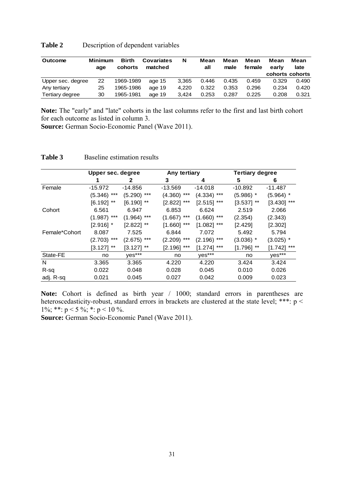| <b>Table 2</b> | Description of dependent variables |
|----------------|------------------------------------|
|----------------|------------------------------------|

| <b>Outcome</b>    | Minimum<br>age | <b>Birth</b><br>cohorts | <b>Covariates</b><br>matched | N     | Mean<br>all | Mean<br>male | Mean<br>female | Mean<br>early | Mean<br>late    |
|-------------------|----------------|-------------------------|------------------------------|-------|-------------|--------------|----------------|---------------|-----------------|
|                   |                |                         |                              |       |             |              |                |               | cohorts cohorts |
| Upper sec. degree | 22             | 1969-1989               | age 15                       | 3.365 | 0.446       | 0.435        | 0.459          | 0.329         | 0.490           |
| Any tertiary      | 25             | 1965-1986               | age 19                       | 4.220 | 0.322       | 0.353        | 0.296          | 0.234         | 0.420           |
| Tertiary degree   | 30             | 1965-1981               | age 19                       | 3.424 | 0.253       | 0.287        | 0.225          | 0.208         | 0.321           |

**Note:** The "early" and "late" cohorts in the last columns refer to the first and last birth cohort for each outcome as listed in column 3.

**Source:** German Socio-Economic Panel (Wave 2011).

|               | Upper sec. degree |                  | Any tertiary       |                  | <b>Tertiary degree</b> |                  |
|---------------|-------------------|------------------|--------------------|------------------|------------------------|------------------|
|               |                   | 2                | 3                  | 4                | 5                      | 6                |
| Female        | $-15.972$         | -14.856          | -13.569            | $-14.018$        | $-10.892$              | -11.487          |
|               | ***<br>(5.346)    | $***$<br>(5.290) | $***$<br>(4.360)   | $***$<br>(4.334) | $(5.986)$ *            | $(5.964)$ *      |
|               | $***$<br>[6.192]  | $***$<br>[6.190] | $[2.822]$ ***      | $***$<br>[2.515] | $***$<br>$[3.537]$     | $***$<br>[3.430] |
| Cohort        | 6.561             | 6.947            | 6.853              | 6.624            | 2.519                  | 2.066            |
|               | $***$<br>(1.987)  | $(1.964)$ ***    | $(1.667)$ ***      | $(1.660)$ ***    | (2.354)                | (2.343)          |
|               | $[2.916]$ *       | $[2.822]$ **     | $***$<br>$[1.660]$ | ***<br>[1.082]   | [2.429]                | [2.302]          |
| Female*Cohort | 8.087             | 7.525            | 6.844              | 7.072            | 5.492                  | 5.794            |
|               | ***<br>(2.703)    | ***<br>(2.675)   | $***$<br>(2.209)   | (2.196)<br>***   | $(3.036)$ *            | $(3.025)$ *      |
|               | $***$<br>[3.127]  | $***$<br>[3.127] | $***$<br>$[2.196]$ | ***<br>[1.274]   | $***$<br>[1.796]       | ***<br>[1.742]   |
| State-FE      | no                | yes***           | no                 | yes***           | no                     | yes***           |
| N             | 3.365             | 3.365            | 4.220              | 4.220            | 3.424                  | 3.424            |
| R-sq          | 0.022             | 0.048            | 0.028              | 0.045            | 0.010                  | 0.026            |
| adj. R-sq     | 0.021             | 0.045            | 0.027              | 0.042            | 0.009                  | 0.023            |

#### **Table 3** Baseline estimation results

**Note:** Cohort is defined as birth year / 1000; standard errors in parentheses are heteroscedasticity-robust, standard errors in brackets are clustered at the state level; \*\*\*: p < 1%; \*\*:  $p < 5$ %; \*:  $p < 10$ %.

**Source:** German Socio-Economic Panel (Wave 2011).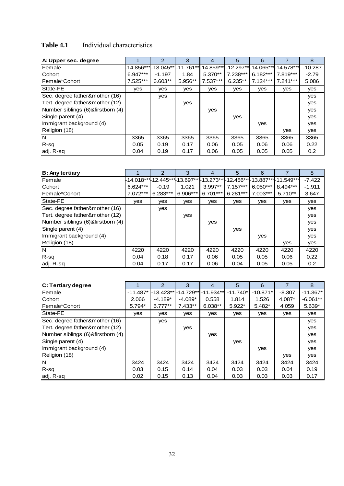## Table 4.1 Individual characteristics

| A: Upper sec. degree              |              | 2         | З                     | 4            | 5         | 6                     |            | 8         |
|-----------------------------------|--------------|-----------|-----------------------|--------------|-----------|-----------------------|------------|-----------|
| Female                            | $-14.856***$ |           | $-13.045**$ -11.761** | $-14.859***$ |           | -12.297** - 14.065*** | -14.578*** | $-10.287$ |
| Cohort                            | $6.947***$   | $-1.197$  | 1.84                  | $5.370**$    | 7.238***  | $6.182***$            | 7.819***   | $-2.79$   |
| Female*Cohort                     | 7.525***     | $6.603**$ | 5.956**               | 7.537***     | $6.235**$ | $7.124***$            | $7.241***$ | 5.086     |
| State-FE                          | yes          | yes       | yes                   | yes          | yes       | yes                   | yes        | yes       |
| Sec. degree father&mother (16)    |              | yes       |                       |              |           |                       |            | yes       |
| Tert. degree father&mother (12)   |              |           | yes                   |              |           |                       |            | yes       |
| Number siblings (6)&firstborn (4) |              |           |                       | yes          |           |                       |            | yes       |
| Single parent (4)                 |              |           |                       |              | yes       |                       |            | yes       |
| Immigrant background (4)          |              |           |                       |              |           | yes                   |            | yes       |
| Religion (18)                     |              |           |                       |              |           |                       | yes        | yes       |
| N                                 | 3365         | 3365      | 3365                  | 3365         | 3365      | 3365                  | 3365       | 3365      |
| R-sq                              | 0.05         | 0.19      | 0.17                  | 0.06         | 0.05      | 0.06                  | 0.06       | 0.22      |
| adj. R-sg                         | 0.04         | 0.19      | 0.17                  | 0.06         | 0.05      | 0.05                  | 0.05       | 0.2       |

| <b>B: Any tertiary</b>            |                                          | $\overline{2}$ | 3        | 4         | 5          | 6          |                                | 8        |
|-----------------------------------|------------------------------------------|----------------|----------|-----------|------------|------------|--------------------------------|----------|
| Female                            | -14.018**1-12.445**1-13.697***-13.273**1 |                |          |           |            |            | -12.456***-13.887***-11.549*** | $-7.422$ |
| Cohort                            | 6.624***                                 | $-0.19$        | 1.021    | $3.997**$ | $7.157***$ | $6.050***$ | 8.494***                       | $-1.911$ |
| Female*Cohort                     | 7.072***                                 | $6.283***$     | 6.906*** | 6.701***  | $6.281***$ | $7.003***$ | $5.710**$                      | 3.647    |
| State-FE                          | yes                                      | yes            | yes      | yes       | yes        | yes        | yes                            | yes      |
| Sec. degree father&mother (16)    |                                          | ves            |          |           |            |            |                                | yes      |
| Tert. degree father&mother (12)   |                                          |                | yes      |           |            |            |                                | yes      |
| Number siblings (6)&firstborn (4) |                                          |                |          | yes       |            |            |                                | yes      |
| Single parent (4)                 |                                          |                |          |           | yes        |            |                                | yes      |
| Immigrant background (4)          |                                          |                |          |           |            | yes        |                                | yes      |
| Religion (18)                     |                                          |                |          |           |            |            | yes                            | yes      |
| N                                 | 4220                                     | 4220           | 4220     | 4220      | 4220       | 4220       | 4220                           | 4220     |
| R-sq                              | 0.04                                     | 0.18           | 0.17     | 0.06      | 0.05       | 0.05       | 0.06                           | 0.22     |
| adj. R-sg                         | 0.04                                     | 0.17           | 0.17     | 0.06      | 0.04       | 0.05       | 0.05                           | 0.2      |

| C: Tertiary degree                |            | $\overline{2}$ | 3         | 4                     | 5          | 6          |          | 8          |
|-----------------------------------|------------|----------------|-----------|-----------------------|------------|------------|----------|------------|
| Female                            | $-11.487*$ | $-13.423**$    |           | $-14.729**$ -11.934** | $-11.740*$ | $-10.871*$ | $-8.307$ | $-11.367*$ |
| Cohort                            | 2.066      | $-4.189*$      | $-4.089*$ | 0.558                 | 1.814      | 1.526      | 4.087*   | $-6.061**$ |
| Female*Cohort                     | 5.794*     | $6.777**$      | 7.433**   | $6.038**$             | $5.922*$   | 5.482*     | 4.059    | $5.639*$   |
| State-FE                          | <b>ves</b> | yes            | yes       | yes                   | yes        | yes        | yes      | yes        |
| Sec. degree father&mother (16)    |            | yes            |           |                       |            |            |          | yes        |
| Tert. degree father&mother (12)   |            |                | yes       |                       |            |            |          | yes        |
| Number siblings (6)&firstborn (4) |            |                |           | yes                   |            |            |          | yes        |
| Single parent (4)                 |            |                |           |                       | yes        |            |          | yes        |
| Immigrant background (4)          |            |                |           |                       |            | yes        |          | yes        |
| Religion (18)                     |            |                |           |                       |            |            | yes      | yes        |
| N                                 | 3424       | 3424           | 3424      | 3424                  | 3424       | 3424       | 3424     | 3424       |
| R-sq                              | 0.03       | 0.15           | 0.14      | 0.04                  | 0.03       | 0.03       | 0.04     | 0.19       |
| adj. R-sg                         | 0.02       | 0.15           | 0.13      | 0.04                  | 0.03       | 0.03       | 0.03     | 0.17       |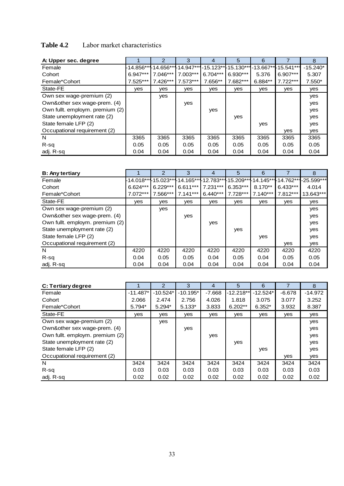## **Table 4.2** Labor market characteristics

| A: Upper sec. degree            |              | $\overline{2}$ | 3                 | 4                    | 5          | 6         |                       | 8          |
|---------------------------------|--------------|----------------|-------------------|----------------------|------------|-----------|-----------------------|------------|
| Female                          | $-14.856***$ |                | 14.656**14.947*** | -15.123** - 15.130** |            |           | -13.667** - 15.541*** | $-15.240*$ |
| Cohort                          | $6.947***$   | $7.046***$     | $7.003***$        | $6.704***$           | $6.930***$ | 5.376     | $6.907***$            | 5.307      |
| Female*Cohort                   | 7.525***     | 7.426***       | $7.573***$        | 7.656**              | 7.682***   | $6.884**$ | $7.722***$            | $7.550*$   |
| State-FE                        | yes          | yes            | yes               | yes                  | yes        | yes       | yes                   | yes        |
| Own sex wage-premium (2)        |              | yes            |                   |                      |            |           |                       | yes        |
| Own&other sex wage-prem. (4)    |              |                | yes               |                      |            |           |                       | yes        |
| Own fullt. employm. premium (2) |              |                |                   | yes                  |            |           |                       | yes        |
| State unemployment rate (2)     |              |                |                   |                      | yes        |           |                       | yes        |
| State female LFP (2)            |              |                |                   |                      |            | yes       |                       | yes        |
| Occupational requirement (2)    |              |                |                   |                      |            |           | yes                   | yes        |
| N                               | 3365         | 3365           | 3365              | 3365                 | 3365       | 3365      | 3365                  | 3365       |
| R-sq                            | 0.05         | 0.05           | 0.05              | 0.05                 | 0.05       | 0.05      | 0.05                  | 0.05       |
| adj. R-sg                       | 0.04         | 0.04           | 0.04              | 0.04                 | 0.04       | 0.04      | 0.04                  | 0.04       |

| <b>B: Any tertiary</b>          |            | $\overline{2}$      | 3                    | 4          | 5          | 6          |                                | 8            |
|---------------------------------|------------|---------------------|----------------------|------------|------------|------------|--------------------------------|--------------|
| Female                          |            | -14.018**115.023*** | -14.165***-12.783*** |            |            |            | -15.209**1-14.145**1-14.762*** | $-25.599***$ |
| Cohort                          | $6.624***$ | $6.229***$          | 6.611***             | $7.231***$ | $6.353***$ | $8.170**$  | $6.433***$                     | 4.014        |
| Female*Cohort                   | $7.072***$ | 7.566***            | $7.141***$           | $6.440***$ | $7.728***$ | $7.140***$ | 7.812***                       | 13.643***    |
| State-FE                        | yes        | yes                 | yes                  | yes        | yes        | yes        | yes                            | yes          |
| Own sex wage-premium (2)        |            | yes                 |                      |            |            |            |                                | yes          |
| Own&other sex wage-prem. (4)    |            |                     | yes                  |            |            |            |                                | yes          |
| Own fullt. employm. premium (2) |            |                     |                      | yes        |            |            |                                | yes          |
| State unemployment rate (2)     |            |                     |                      |            | yes        |            |                                | yes          |
| State female LFP (2)            |            |                     |                      |            |            | yes        |                                | yes          |
| Occupational requirement (2)    |            |                     |                      |            |            |            | yes                            | yes          |
| N                               | 4220       | 4220                | 4220                 | 4220       | 4220       | 4220       | 4220                           | 4220         |
| $R-sq$                          | 0.04       | 0.05                | 0.05                 | 0.04       | 0.05       | 0.04       | 0.05                           | 0.05         |
| adj. R-sq                       | 0.04       | 0.04                | 0.04                 | 0.04       | 0.04       | 0.04       | 0.04                           | 0.04         |

| C: Tertiary degree              |            | $\overline{2}$ | 3          | 4        | 5           | 6          | 7        | 8         |
|---------------------------------|------------|----------------|------------|----------|-------------|------------|----------|-----------|
| Female                          | $-11.487*$ | $-10.524*$     | $-10.195*$ | $-7.668$ | $-12.218**$ | $-12.524*$ | $-6.678$ | $-14.972$ |
| Cohort                          | 2.066      | 2.474          | 2.756      | 4.026    | 1.818       | 3.075      | 3.077    | 3.252     |
| Female*Cohort                   | 5.794*     | $5.294*$       | $5.133*$   | 3.833    | $6.202**$   | $6.352*$   | 3.932    | 8.387     |
| State-FE                        | yes        | yes            | yes        | yes      | yes         | yes        | yes      | yes       |
| Own sex wage-premium (2)        |            | yes            |            |          |             |            |          | yes       |
| Own&other sex wage-prem. (4)    |            |                | yes        |          |             |            |          | yes       |
| Own fullt. employm. premium (2) |            |                |            | yes      |             |            |          | yes       |
| State unemployment rate (2)     |            |                |            |          | yes         |            |          | yes       |
| State female LFP (2)            |            |                |            |          |             | yes        |          | yes       |
| Occupational requirement (2)    |            |                |            |          |             |            | yes      | yes       |
| N                               | 3424       | 3424           | 3424       | 3424     | 3424        | 3424       | 3424     | 3424      |
| R-sq                            | 0.03       | 0.03           | 0.03       | 0.03     | 0.03        | 0.03       | 0.03     | 0.03      |
| adj. R-sq                       | 0.02       | 0.02           | 0.02       | 0.02     | 0.02        | 0.02       | 0.02     | 0.02      |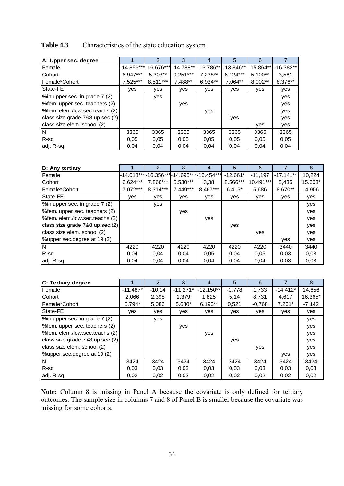### **Table 4.3** Characteristics of the state education system

| A: Upper sec. degree            |            | 2                    | 3           | 4           | 5           | 6           |             |
|---------------------------------|------------|----------------------|-------------|-------------|-------------|-------------|-------------|
| Female                          |            | -14.856***-16.676*** | $-14.788**$ | $-13.786**$ | $-13.846**$ | $-15.864**$ | $-16.382**$ |
| Cohort                          | $6.947***$ | $5.303**$            | $9.251***$  | $7.238**$   | $6.124***$  | $5.100**$   | 3.561       |
| Female*Cohort                   | 7.525***   | $8.511***$           | 7.488**     | $6.934**$   | 7.064**     | $8.002**$   | 8.376**     |
| State-FE                        | <b>ves</b> | yes                  | yes         | yes         | yes         | yes         | yes         |
| %in upper sec. in grade 7 (2)   |            | yes                  |             |             |             |             | yes         |
| % fem. upper sec. teachers (2)  |            |                      | yes         |             |             |             | yes         |
| %fem. elem./low.sec.teachs (2)  |            |                      |             | yes         |             |             | yes         |
| class size grade 7&8 up.sec.(2) |            |                      |             |             | yes         |             | yes         |
| class size elem. school (2)     |            |                      |             |             |             | yes         | yes         |
| N                               | 3365       | 3365                 | 3365        | 3365        | 3365        | 3365        | 3365        |
| R-sq                            | 0.05       | 0.05                 | 0.05        | 0.05        | 0.05        | 0.05        | 0.05        |
| adj. R-sq                       | 0.04       | 0.04                 | 0.04        | 0.04        | 0,04        | 0.04        | 0.04        |

| <b>B:</b> Any tertiary          |            | 2          | 3          | 4                                        | 5          | 6         |             | 8        |
|---------------------------------|------------|------------|------------|------------------------------------------|------------|-----------|-------------|----------|
| Female                          |            |            |            | -14.018***-16.356***-14.695***-16.454*** | $-12.661*$ | $-11,197$ | $-17.141**$ | 10,224   |
| Cohort                          | $6.624***$ | 7.866***   | $5.530***$ | 3,38                                     | 8.566***   | 10.491*** | 5.435       | 15.603*  |
| Female*Cohort                   | 7.072***   | $8.314***$ | $7.449***$ | 8.467***                                 | $6.415*$   | 5,686     | 8.670**     | $-4,906$ |
| State-FE                        | ves        | yes        | ves        | yes                                      | yes        | yes       | ves         | yes      |
| %in upper sec. in grade 7 (2)   |            | yes        |            |                                          |            |           |             | yes      |
| % fem. upper sec. teachers (2)  |            |            | yes        |                                          |            |           |             | yes      |
| %fem. elem./low.sec.teachs (2)  |            |            |            | yes                                      |            |           |             | yes      |
| class size grade 7&8 up.sec.(2) |            |            |            |                                          | yes        |           |             | yes      |
| class size elem. school (2)     |            |            |            |                                          |            | yes       |             | yes      |
| %upper sec.degree at 19 (2)     |            |            |            |                                          |            |           | yes         | yes      |
| N                               | 4220       | 4220       | 4220       | 4220                                     | 4220       | 4220      | 3440        | 3440     |
| R-sq                            | 0.04       | 0,04       | 0,04       | 0.05                                     | 0,04       | 0.05      | 0,03        | 0,03     |
| adj. R-sq                       | 0.04       | 0,04       | 0,04       | 0,04                                     | 0,04       | 0,04      | 0,03        | 0,03     |

| C: Tertiary degree                   |            | 2        | 3          | 4           | 5        | 6        |            | 8        |
|--------------------------------------|------------|----------|------------|-------------|----------|----------|------------|----------|
| Female                               | $-11.487*$ | $-10.14$ | $-11.271*$ | $-12.150**$ | $-0.778$ | 1.733    | $-14.412*$ | 14,656   |
| Cohort                               | 2,066      | 2,398    | 1.379      | 1,825       | 5,14     | 8,731    | 4,617      | 16.365*  |
| Female*Cohort                        | $5.794*$   | 5,086    | $5.680*$   | $6.190**$   | 0,521    | $-0,768$ | $7.261*$   | $-7,142$ |
| State-FE                             | yes        | yes      | yes        | yes         | yes      | yes      | yes        | yes      |
| %in upper sec. in grade 7 (2)        |            | yes      |            |             |          |          |            | yes      |
| % fem. upper sec. teachers (2)       |            |          | yes        |             |          |          |            | yes      |
| %fem. elem./low.sec.teachs (2)       |            |          |            | yes         |          |          |            | yes      |
| class size grade $7&8$ up.sec. $(2)$ |            |          |            |             | yes      |          |            | yes      |
| class size elem. school (2)          |            |          |            |             |          | yes      |            | yes      |
| %upper sec.degree at 19 (2)          |            |          |            |             |          |          | yes        | yes      |
| N                                    | 3424       | 3424     | 3424       | 3424        | 3424     | 3424     | 3424       | 3424     |
| R-sq                                 | 0,03       | 0,03     | 0,03       | 0,03        | 0,03     | 0,03     | 0,03       | 0,03     |
| adj. R-sq                            | 0,02       | 0,02     | 0,02       | 0,02        | 0,02     | 0,02     | 0,02       | 0,02     |

**Note:** Column 8 is missing in Panel A because the covariate is only defined for tertiary outcomes. The sample size in columns 7 and 8 of Panel B is smaller because the covariate was missing for some cohorts.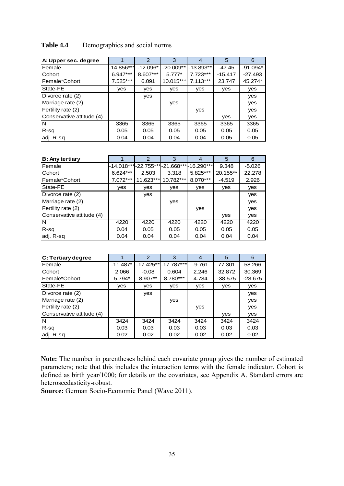| A: Upper sec. degree      |            | 2          | 3           | 4           | 5         | 6          |
|---------------------------|------------|------------|-------------|-------------|-----------|------------|
| Female                    | -14.856*** | $-12.096*$ | $-20.009**$ | $-13.893**$ | $-47.45$  | $-91.094*$ |
| Cohort                    | $6.947***$ | 8.607***   | $5.777*$    | $7.723***$  | $-15.417$ | $-27.493$  |
| Female*Cohort             | 7.525***   | 6.091      | 10.015***   | $7.113***$  | 23.747    | 45.274*    |
| State-FE                  | yes        | <b>ves</b> | yes         | yes         | yes       | yes        |
| Divorce rate (2)          |            | yes        |             |             |           | yes        |
| Marriage rate (2)         |            |            | yes         |             |           | yes        |
| Fertility rate (2)        |            |            |             | yes         |           | yes        |
| Conservative attitude (4) |            |            |             |             | yes       | yes        |
| N                         | 3365       | 3365       | 3365        | 3365        | 3365      | 3365       |
| R-sq                      | 0.05       | 0.05       | 0.05        | 0.05        | 0.05      | 0.05       |
| adj. R-sg                 | 0.04       | 0.04       | 0.04        | 0.04        | 0.05      | 0.05       |

### **Table 4.4** Demographics and social norms

| <b>B: Any tertiary</b>    |            | $\overline{2}$                              | 3         | 4        | 5        | 6        |
|---------------------------|------------|---------------------------------------------|-----------|----------|----------|----------|
| Female                    |            | -14.018*** -22.755*** -21.668*** -16.290*** |           |          | 9.348    | $-5.026$ |
| Cohort                    | $6.624***$ | 2.503                                       | 3.318     | 5.825*** | 20.155** | 22.278   |
| Female*Cohort             | 7.072***   | 11.623***                                   | 10.782*** | 8.070*** | $-4.519$ | 2.926    |
| State-FE                  | yes        | <b>ves</b>                                  | yes       | yes      | yes      | yes      |
| Divorce rate (2)          |            | yes                                         |           |          |          | yes      |
| Marriage rate (2)         |            |                                             | yes       |          |          | yes      |
| Fertility rate (2)        |            |                                             |           | yes      |          | yes      |
| Conservative attitude (4) |            |                                             |           |          | yes      | yes      |
| N                         | 4220       | 4220                                        | 4220      | 4220     | 4220     | 4220     |
| R-sq                      | 0.04       | 0.05                                        | 0.05      | 0.05     | 0.05     | 0.05     |
| adj. R-sq                 | 0.04       | 0.04                                        | 0.04      | 0.04     | 0.04     | 0.04     |

| C: Tertiary degree        |            | 2         | 3                       | 4        | 5         | 6         |
|---------------------------|------------|-----------|-------------------------|----------|-----------|-----------|
| Female                    | $-11.487*$ |           | $-17.425**$ - 17.787*** | $-9.761$ | 77.301    | 58.266    |
| Cohort                    | 2.066      | $-0.08$   | 0.604                   | 2.246    | 32.872    | 30.369    |
| Female*Cohort             | $5.794*$   | $8.907**$ | 8.780***                | 4.734    | $-38.575$ | $-28.675$ |
| State-FE                  | yes        | yes       | yes                     | yes      | yes       | yes       |
| Divorce rate (2)          |            | yes       |                         |          |           | yes       |
| Marriage rate (2)         |            |           | yes                     |          |           | yes       |
| Fertility rate (2)        |            |           |                         | yes      |           | yes       |
| Conservative attitude (4) |            |           |                         |          | yes       | yes       |
| N                         | 3424       | 3424      | 3424                    | 3424     | 3424      | 3424      |
| R-sq                      | 0.03       | 0.03      | 0.03                    | 0.03     | 0.03      | 0.03      |
| adj. R-sg                 | 0.02       | 0.02      | 0.02                    | 0.02     | 0.02      | 0.02      |

**Note:** The number in parentheses behind each covariate group gives the number of estimated parameters; note that this includes the interaction terms with the female indicator. Cohort is defined as birth year/1000; for details on the covariates, see Appendix A. Standard errors are heteroscedasticity-robust.

**Source:** German Socio-Economic Panel (Wave 2011).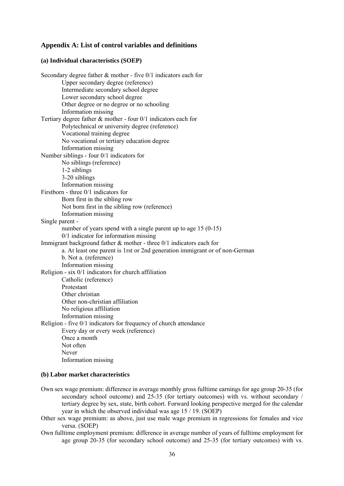#### **Appendix A: List of control variables and definitions**

#### **(a) Individual characteristics (SOEP)**

| Secondary degree father $\&$ mother - five 0/1 indicators each for          |
|-----------------------------------------------------------------------------|
| Upper secondary degree (reference)                                          |
| Intermediate secondary school degree                                        |
| Lower secondary school degree                                               |
| Other degree or no degree or no schooling                                   |
| Information missing                                                         |
| Tertiary degree father $\&$ mother - four $0/1$ indicators each for         |
| Polytechnical or university degree (reference)                              |
| Vocational training degree                                                  |
| No vocational or tertiary education degree                                  |
| Information missing                                                         |
| Number siblings - four 0/1 indicators for                                   |
| No siblings (reference)                                                     |
| 1-2 siblings                                                                |
| 3-20 siblings                                                               |
| Information missing                                                         |
| Firstborn - three 0/1 indicators for                                        |
| Born first in the sibling row                                               |
| Not born first in the sibling row (reference)                               |
| Information missing                                                         |
| Single parent -                                                             |
| number of years spend with a single parent up to age $15(0-15)$             |
| $0/1$ indicator for information missing                                     |
| Immigrant background father $\&$ mother - three $0/1$ indicators each for   |
| a. At least one parent is 1rst or 2nd generation immigrant or of non-German |
| b. Not a. (reference)                                                       |
| Information missing                                                         |
| Religion - six 0/1 indicators for church affiliation                        |
| Catholic (reference)                                                        |
| Protestant                                                                  |
| Other christian                                                             |
| Other non-christian affiliation                                             |
| No religious affiliation                                                    |
| Information missing                                                         |
| Religion - five 0/1 indicators for frequency of church attendance           |
| Every day or every week (reference)                                         |
| Once a month                                                                |
| Not often                                                                   |
| Never                                                                       |
| Information missing                                                         |

#### **(b) Labor market characteristics**

- Own sex wage premium: difference in average monthly gross fulltime earnings for age group 20-35 (for secondary school outcome) and 25-35 (for tertiary outcomes) with vs. without secondary / tertiary degree by sex, state, birth cohort. Forward looking perspective merged for the calendar year in which the observed individual was age 15 / 19. (SOEP)
- Other sex wage premium: as above, just use male wage premium in regressions for females and vice versa. (SOEP)
- Own fulltime employment premium: difference in average number of years of fulltime employment for age group 20-35 (for secondary school outcome) and 25-35 (for tertiary outcomes) with vs.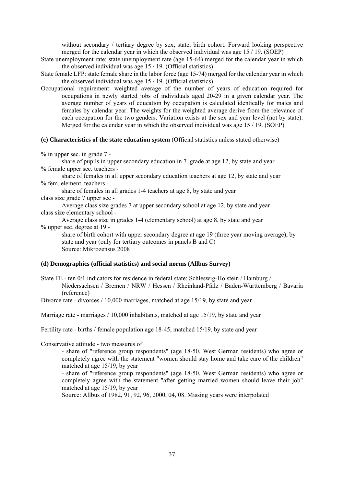without secondary / tertiary degree by sex, state, birth cohort. Forward looking perspective merged for the calendar year in which the observed individual was age 15 / 19. (SOEP)

- State unemployment rate: state unemployment rate (age 15-64) merged for the calendar year in which the observed individual was age 15 / 19. (Official statistics)
- State female LFP: state female share in the labor force (age 15-74) merged for the calendar year in which the observed individual was age 15 / 19. (Official statistics)
- Occupational requirement: weighted average of the number of years of education required for occupations in newly started jobs of individuals aged 20-29 in a given calendar year. The average number of years of education by occupation is calculated identically for males and females by calendar year. The weights for the weighted average derive from the relevance of each occupation for the two genders. Variation exists at the sex and year level (not by state). Merged for the calendar year in which the observed individual was age 15 / 19. (SOEP)

#### **(c) Characteristics of the state education system** (Official statistics unless stated otherwise)

% in upper sec. in grade 7 -

share of pupils in upper secondary education in 7. grade at age 12, by state and year % female upper sec. teachers -

share of females in all upper secondary education teachers at age 12, by state and year % fem. element. teachers -

share of females in all grades 1-4 teachers at age 8, by state and year class size grade 7 upper sec -

 Average class size grades 7 at upper secondary school at age 12, by state and year class size elementary school -

 Average class size in grades 1-4 (elementary school) at age 8, by state and year % upper sec. degree at 19 -

share of birth cohort with upper secondary degree at age 19 (three year moving average), by state and year (only for tertiary outcomes in panels B and C) Source: Mikrozensus 2008

#### **(d) Demographics (official statistics) and social norms (Allbus Survey)**

State FE - ten 0/1 indicators for residence in federal state: Schleswig-Holstein / Hamburg / Niedersachsen / Bremen / NRW / Hessen / Rheinland-Pfalz / Baden-Württemberg / Bavaria (reference)

Divorce rate - divorces / 10,000 marriages, matched at age 15/19, by state and year

Marriage rate - marriages / 10,000 inhabitants, matched at age 15/19, by state and year

Fertility rate - births / female population age 18-45, matched 15/19, by state and year

Conservative attitude - two measures of

- share of "reference group respondents" (age 18-50, West German residents) who agree or completely agree with the statement "women should stay home and take care of the children" matched at age 15/19, by year

- share of "reference group respondents" (age 18-50, West German residents) who agree or completely agree with the statement "after getting married women should leave their job" matched at age 15/19, by year

Source: Allbus of 1982, 91, 92, 96, 2000, 04, 08. Missing years were interpolated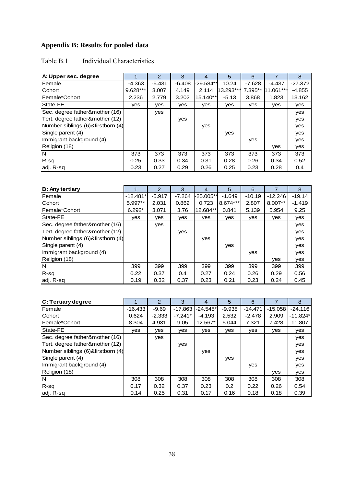## **Appendix B: Results for pooled data**

### Table B.1 Individual Characteristics

| A: Upper sec. degree              |            | 2        | 3        | 4         | 5         | 6        |           | 8         |
|-----------------------------------|------------|----------|----------|-----------|-----------|----------|-----------|-----------|
| Female                            | $-4.363$   | $-5.431$ | $-6.408$ | -29.584** | 10.24     | $-7.628$ | $-4.437$  | $-27.372$ |
| Cohort                            | $9.628***$ | 3.007    | 4.149    | 2.114     | 13.293*** | 7.395**  | 11.061*** | -4.855    |
| Female*Cohort                     | 2.236      | 2.779    | 3.202    | 15.140**  | $-5.13$   | 3.868    | 1.823     | 13.162    |
| State-FE                          | ves        | yes      | yes      | yes       | yes       | yes      | yes       | yes       |
| Sec. degree father&mother (16)    |            | yes      |          |           |           |          |           | yes       |
| Tert. degree father&mother (12)   |            |          | yes      |           |           |          |           | yes       |
| Number siblings (6)&firstborn (4) |            |          |          | yes       |           |          |           | yes       |
| Single parent (4)                 |            |          |          |           | yes       |          |           | yes       |
| Immigrant background (4)          |            |          |          |           |           | yes      |           | yes       |
| Religion (18)                     |            |          |          |           |           |          | yes       | yes       |
| N                                 | 373        | 373      | 373      | 373       | 373       | 373      | 373       | 373       |
| $R-sq$                            | 0.25       | 0.33     | 0.34     | 0.31      | 0.28      | 0.26     | 0.34      | 0.52      |
| adj. R-sq                         | 0.23       | 0.27     | 0.29     | 0.26      | 0.25      | 0.23     | 0.28      | 0.4       |

| <b>B: Any tertiary</b>            |            | $\mathcal{P}$ | 3        | 4         | 5        | 6        |           | 8        |
|-----------------------------------|------------|---------------|----------|-----------|----------|----------|-----------|----------|
| Female                            | $-12.481*$ | $-5.917$      | $-7.264$ | -25.005** | $-1.649$ | $-10.19$ | $-12.246$ | $-19.14$ |
| Cohort                            | $5.997**$  | 2.031         | 0.862    | 0.723     | 8.674*** | 2.807    | 8.007**   | $-1.419$ |
| Female*Cohort                     | $6.292*$   | 3.071         | 3.76     | 12.684**  | 0.841    | 5.139    | 5.954     | 9.25     |
| State-FE                          | yes        | yes           | yes      | yes       | yes      | yes      | yes       | yes      |
| Sec. degree father&mother (16)    |            | yes           |          |           |          |          |           | yes      |
| Tert. degree father&mother (12)   |            |               | yes      |           |          |          |           | yes      |
| Number siblings (6)&firstborn (4) |            |               |          | yes       |          |          |           | yes      |
| Single parent (4)                 |            |               |          |           | yes      |          |           | yes      |
| Immigrant background (4)          |            |               |          |           |          | yes      |           | yes      |
| Religion (18)                     |            |               |          |           |          |          | yes       | yes      |
| N                                 | 399        | 399           | 399      | 399       | 399      | 399      | 399       | 399      |
| R-sq                              | 0.22       | 0.37          | 0.4      | 0.27      | 0.24     | 0.26     | 0.29      | 0.56     |
| adj. R-sq                         | 0.19       | 0.32          | 0.37     | 0.23      | 0.21     | 0.23     | 0.24      | 0.45     |

| C: Tertiary degree                |           | 2        | 3         | 4          | 5        | 6         |           | 8          |
|-----------------------------------|-----------|----------|-----------|------------|----------|-----------|-----------|------------|
| Female                            | $-16.433$ | $-9.69$  | $-17.863$ | $-24.545*$ | $-9.938$ | $-14.471$ | $-15.058$ | $-24.116$  |
| Cohort                            | 0.624     | $-2.333$ | $-7.241*$ | $-4.193$   | 2.532    | $-2.478$  | 2.909     | $-11.824*$ |
| Female*Cohort                     | 8.304     | 4.931    | 9.05      | 12.567*    | 5.044    | 7.321     | 7.428     | 11.807     |
| State-FE                          | yes       | yes      | yes       | yes        | yes      | yes       | yes       | yes        |
| Sec. degree father&mother (16)    |           | yes      |           |            |          |           |           | yes        |
| Tert. degree father&mother (12)   |           |          | yes       |            |          |           |           | yes        |
| Number siblings (6)&firstborn (4) |           |          |           | yes        |          |           |           | yes        |
| Single parent (4)                 |           |          |           |            | yes      |           |           | yes        |
| Immigrant background (4)          |           |          |           |            |          | yes       |           | yes        |
| Religion (18)                     |           |          |           |            |          |           | yes       | yes        |
| N                                 | 308       | 308      | 308       | 308        | 308      | 308       | 308       | 308        |
| R-sq                              | 0.17      | 0.32     | 0.37      | 0.23       | 0.2      | 0.22      | 0.26      | 0.54       |
| adj. R-sq                         | 0.14      | 0.25     | 0.31      | 0.17       | 0.16     | 0.18      | 0.18      | 0.39       |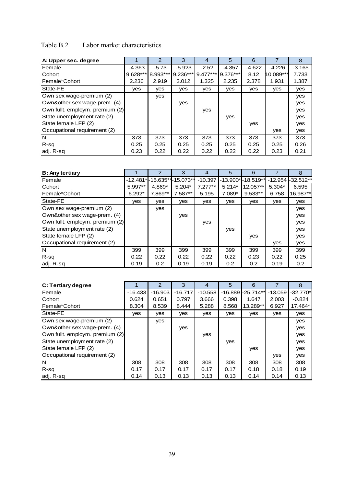### Table B.2 Labor market characteristics

| A: Upper sec. degree            |          | $\mathcal{P}$ | 3          | 4          | 5        | 6        |           | 8        |
|---------------------------------|----------|---------------|------------|------------|----------|----------|-----------|----------|
| Female                          | $-4.363$ | $-5.73$       | $-5.923$   | $-2.52$    | $-4.357$ | $-4.622$ | $-4.226$  | $-3.165$ |
| Cohort                          | 9.628*** | 8.993***      | $9.236***$ | $9.477***$ | 9.376*** | 8.12     | 10.089*** | 7.733    |
| Female*Cohort                   | 2.236    | 2.919         | 3.012      | 1.325      | 2.235    | 2.378    | 1.931     | 1.387    |
| State-FE                        | yes      | yes           | yes        | yes        | yes      | yes      | yes       | yes      |
| Own sex wage-premium (2)        |          | yes           |            |            |          |          |           | yes      |
| Own&other sex wage-prem. (4)    |          |               | yes        |            |          |          |           | yes      |
| Own fullt. employm. premium (2) |          |               |            | yes        |          |          |           | yes      |
| State unemployment rate (2)     |          |               |            |            | yes      |          |           | yes      |
| State female LFP (2)            |          |               |            |            |          | yes      |           | yes      |
| Occupational requirement (2)    |          |               |            |            |          |          | yes       | yes      |
| N                               | 373      | 373           | 373        | 373        | 373      | 373      | 373       | 373      |
| $R-sq$                          | 0.25     | 0.25          | 0.25       | 0.25       | 0.25     | 0.25     | 0.25      | 0.26     |
| adj. R-sg                       | 0.23     | 0.22          | 0.22       | 0.22       | 0.22     | 0.22     | 0.23      | 0.21     |

| <b>B: Any tertiary</b>          |          | $\overline{2}$               | 3        | $\overline{4}$ | 5        | 6                 |           | 8           |
|---------------------------------|----------|------------------------------|----------|----------------|----------|-------------------|-----------|-------------|
| Female                          |          | -12.481*l-15.635**l-15.073** |          | $-10.397$      |          | -13.900*-18.519** | $-12.954$ | $-32.512**$ |
| Cohort                          | 5.997**  | 4.869*                       | $5.204*$ | $7.277**$      | $5.214*$ | 12.057**          | $5.304*$  | 6.595       |
| Female*Cohort                   | $6.292*$ | 7.869**                      | 7.587**  | 5.195          | 7.089*   | $9.533**$         | 6.758     | 16.987**    |
| State-FE                        | yes      | yes                          | yes      | yes            | yes      | yes               | yes       | yes         |
| Own sex wage-premium (2)        |          | yes                          |          |                |          |                   |           | yes         |
| Own&other sex wage-prem. (4)    |          |                              | yes      |                |          |                   |           | yes         |
| Own fullt. employm. premium (2) |          |                              |          | yes            |          |                   |           | yes         |
| State unemployment rate (2)     |          |                              |          |                | yes      |                   |           | yes         |
| State female LFP (2)            |          |                              |          |                |          | yes               |           | yes         |
| Occupational requirement (2)    |          |                              |          |                |          |                   | yes       | yes         |
| N                               | 399      | 399                          | 399      | 399            | 399      | 399               | 399       | 399         |
| $R-sq$                          | 0.22     | 0.22                         | 0.22     | 0.22           | 0.22     | 0.23              | 0.22      | 0.25        |
| adj. R-sq                       | 0.19     | 0.2                          | 0.19     | 0.19           | 0.2      | 0.2               | 0.19      | 0.2         |

| C: Tertiary degree              |            | 2         | 3         | 4         | 5     | 6                 |           | 8          |
|---------------------------------|------------|-----------|-----------|-----------|-------|-------------------|-----------|------------|
| Female                          | $-16.433$  | $-16.903$ | $-16.717$ | $-10.558$ |       | -16.889 -25.714** | $-13.059$ | $-32.770*$ |
| Cohort                          | 0.624      | 0.651     | 0.797     | 3.666     | 0.398 | 1.647             | 2.003     | $-0.824$   |
| Female*Cohort                   | 8.304      | 8.539     | 8.444     | 5.288     | 8.568 | 13.289**          | 6.927     | 17.464*    |
| State-FE                        | <b>ves</b> | yes       | yes       | yes       | yes   | yes               | yes       | yes        |
| Own sex wage-premium (2)        |            | yes       |           |           |       |                   |           | yes        |
| Own&other sex wage-prem. (4)    |            |           | yes       |           |       |                   |           | yes        |
| Own fullt. employm. premium (2) |            |           |           | yes       |       |                   |           | yes        |
| State unemployment rate (2)     |            |           |           |           | yes   |                   |           | yes        |
| State female LFP (2)            |            |           |           |           |       | yes               |           | yes        |
| Occupational requirement (2)    |            |           |           |           |       |                   | yes       | yes        |
| N                               | 308        | 308       | 308       | 308       | 308   | 308               | 308       | 308        |
| R-sq                            | 0.17       | 0.17      | 0.17      | 0.17      | 0.17  | 0.18              | 0.18      | 0.19       |
| adj. R-sg                       | 0.14       | 0.13      | 0.13      | 0.13      | 0.13  | 0.14              | 0.14      | 0.13       |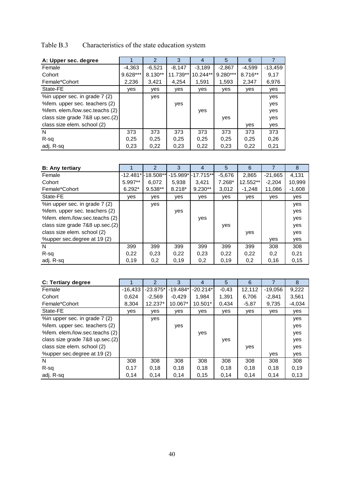## Table B.3 Characteristics of the state education system

| A: Upper sec. degree            |          | $\mathcal{P}$ | 3        | 4        | 5          | 6       |           |
|---------------------------------|----------|---------------|----------|----------|------------|---------|-----------|
| Female                          | $-4.363$ | $-6.521$      | $-8.147$ | $-3,189$ | $-2,867$   | -4.599  | $-13,459$ |
| Cohort                          | 9.628*** | 8.130**       | 11.739** | 10.244** | $9.280***$ | 8.716** | 9,17      |
| Female*Cohort                   | 2,236    | 3,421         | 4.254    | 1,591    | 1,593      | 2,347   | 6,976     |
| State-FE                        | yes      | yes           | yes      | yes      | yes        | yes     | yes       |
| %in upper sec. in grade 7 (2)   |          | yes           |          |          |            |         | yes       |
| %fem. upper sec. teachers (2)   |          |               | yes      |          |            |         | yes       |
| %fem. elem./low.sec.teachs (2)  |          |               |          | yes      |            |         | yes       |
| class size grade 7&8 up.sec.(2) |          |               |          |          | yes        |         | yes       |
| class size elem. school (2)     |          |               |          |          |            | yes     | yes       |
| N                               | 373      | 373           | 373      | 373      | 373        | 373     | 373       |
| R-sq                            | 0,25     | 0,25          | 0.25     | 0.25     | 0.25       | 0.25    | 0,26      |
| adj. R-sq                       | 0.23     | 0,22          | 0,23     | 0,22     | 0,23       | 0,22    | 0,21      |

| <b>B:</b> Any tertiary          |           | 2                     | 3        | 4                  | 5        | 6        |           | 8        |
|---------------------------------|-----------|-----------------------|----------|--------------------|----------|----------|-----------|----------|
| Female                          |           | $-12.481*$ - 18.508** |          | -15.989*I-17.715** | $-5.676$ | 2,865    | $-21.665$ | 4,131    |
| Cohort                          | $5.997**$ | 6.072                 | 5.938    | 3.421              | $7.268*$ | 12.552** | $-2,204$  | 10,999   |
| Female*Cohort                   | $6.292*$  | $9.538**$             | $8.218*$ | $9.230**$          | 3,012    | $-1,248$ | 11,086    | $-1,608$ |
| State-FE                        | ves       | yes                   | yes      | yes                | yes      | yes      | yes       | yes      |
| %in upper sec. in grade 7 (2)   |           | yes                   |          |                    |          |          |           | yes      |
| %fem. upper sec. teachers (2)   |           |                       | yes      |                    |          |          |           | yes      |
| %fem. elem./low.sec.teachs (2)  |           |                       |          | yes                |          |          |           | yes      |
| class size grade 7&8 up.sec.(2) |           |                       |          |                    | yes      |          |           | yes      |
| class size elem. school (2)     |           |                       |          |                    |          | yes      |           | yes      |
| %upper sec.degree at 19 (2)     |           |                       |          |                    |          |          | yes       | yes      |
| N                               | 399       | 399                   | 399      | 399                | 399      | 399      | 308       | 308      |
| R-sq                            | 0,22      | 0,23                  | 0,22     | 0,23               | 0,22     | 0,22     | 0,2       | 0,21     |
| adj. R-sq                       | 0,19      | 0,2                   | 0,19     | 0,2                | 0,19     | 0,2      | 0,16      | 0,15     |

| C: Tertiary degree              |           | $\mathcal{P}$ | 3          | 4          | 5       | 6       |           | 8        |
|---------------------------------|-----------|---------------|------------|------------|---------|---------|-----------|----------|
| Female                          | $-16,433$ | $-23.875*$    | $-19.484*$ | $-20.214*$ | $-0.43$ | 12,112  | $-19,056$ | 9,222    |
| Cohort                          | 0.624     | $-2,569$      | $-0.429$   | 1.984      | 1.391   | 6,706   | $-2.841$  | 3,561    |
| Female*Cohort                   | 8.304     | $12.237*$     | 10.067*    | $10.501*$  | 0.434   | $-5,87$ | 9,735     | $-4,034$ |
| State-FE                        | ves       | yes           | yes        | yes        | yes     | yes     | ves       | yes      |
| %in upper sec. in grade 7 (2)   |           | yes           |            |            |         |         |           | yes      |
| % fem. upper sec. teachers (2)  |           |               | yes        |            |         |         |           | yes      |
| %fem. elem./low.sec.teachs (2)  |           |               |            | yes        |         |         |           | yes      |
| class size grade 7&8 up.sec.(2) |           |               |            |            | yes     |         |           | yes      |
| class size elem. school (2)     |           |               |            |            |         | yes     |           | yes      |
| %upper sec.degree at 19 (2)     |           |               |            |            |         |         | yes       | yes      |
| N                               | 308       | 308           | 308        | 308        | 308     | 308     | 308       | 308      |
| R-sq                            | 0.17      | 0,18          | 0,18       | 0,18       | 0,18    | 0,18    | 0,18      | 0,19     |
| adj. R-sq                       | 0,14      | 0,14          | 0,14       | 0,15       | 0,14    | 0,14    | 0,14      | 0,13     |